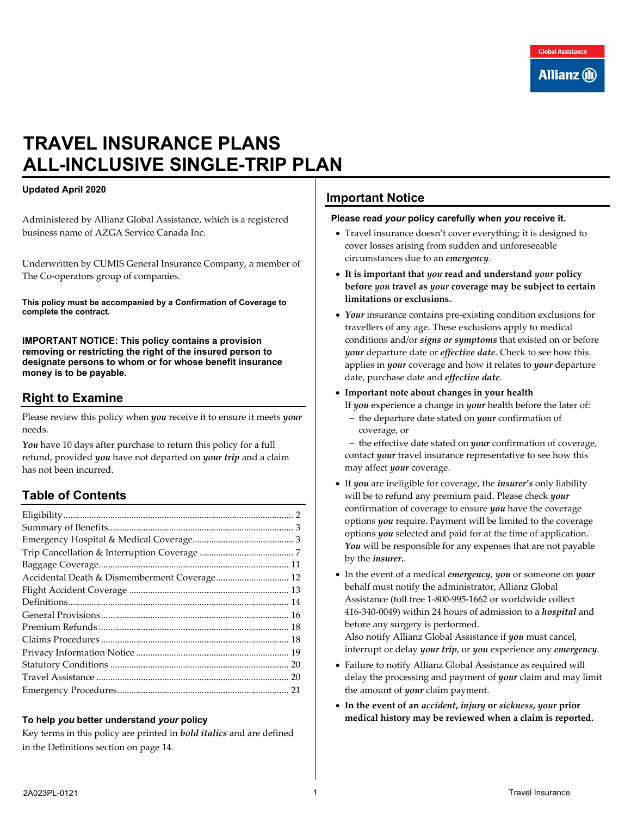# **TRAVEL INSURANCE PLANS ALL-INCLUSIVE SINGLE-TRIP PLAN**

# **Updated April 2020**

Administered by Allianz Global Assistance, which is a registered business name of AZGA Service Canada Inc.

Underwritten by CUMIS General Insurance Company, a member of The Co-operators group of companies.

**This policy must be accompanied by a Confirmation of Coverage to complete the contract.** 

**IMPORTANT NOTICE: This policy contains a provision removing or restricting the right of the insured person to designate persons to whom or for whose benefit insurance money is to be payable.**

# **Right to Examine**

Please review this policy when *you* receive it to ensure it meets *your*  needs.

*You* have 10 days after purchase to return this policy for a full refund, provided *you* have not departed on *your trip* and a claim has not been incurred.

# **Table of Contents**

| Accidental Death & Dismemberment Coverage 12 |  |
|----------------------------------------------|--|
|                                              |  |
|                                              |  |
|                                              |  |
|                                              |  |
|                                              |  |
|                                              |  |
|                                              |  |
|                                              |  |
|                                              |  |

#### **To help** *you* **better understand** *your* **policy**

Key terms in this policy are printed in *bold italics* and are defined in the Definitions section on page [14.](#page-13-0)

# **Important Notice**

#### **Please read** *your* **policy carefully when** *you* **receive it.**

- Travel insurance doesn't cover everything; it is designed to cover losses arising from sudden and unforeseeable circumstances due to an *emergency*.
- **It is important that** *you* **read and understand** *your* **policy before** *you* **travel as** *your* **coverage may be subject to certain limitations or exclusions.**
- *Your* insurance contains pre-existing condition exclusions for travellers of any age. These exclusions apply to medical conditions and/or *signs or symptoms* that existed on or before *your* departure date or *effective date*. Check to see how this applies in *your* coverage and how it relates to *your* departure date, purchase date and *effective date*.
- **Important note about changes in your health**
	- If *you* experience a change in *your* health before the later of:
	- − the departure date stated on *your* confirmation of coverage, or

− the effective date stated on *your* confirmation of coverage, contact *your* travel insurance representative to see how this may affect *your* coverage.

- If *you* are ineligible for coverage, the *insurer's* only liability will be to refund any premium paid. Please check *your* confirmation of coverage to ensure *you* have the coverage options *you* require. Payment will be limited to the coverage options *you* selected and paid for at the time of application. You will be responsible for any expenses that are not payable by the *insurer.*.
- In the event of a medical *emergency*, *you* or someone on *your* behalf must notify the administrator, Allianz Global Assistance (toll free 1-800-995-1662 or worldwide collect 416-340-0049) within 24 hours of admission to a *hospital* and before any surgery is performed.

Also notify Allianz Global Assistance if *you* must cancel, interrupt or delay *your trip*, or *you* experience any *emergency*.

- Failure to notify Allianz Global Assistance as required will delay the processing and payment of *your* claim and may limit the amount of *your* claim payment.
- **In the event of an** *accident***,** *injury* **or** *sickness***,** *your* **prior medical history may be reviewed when a claim is reported.**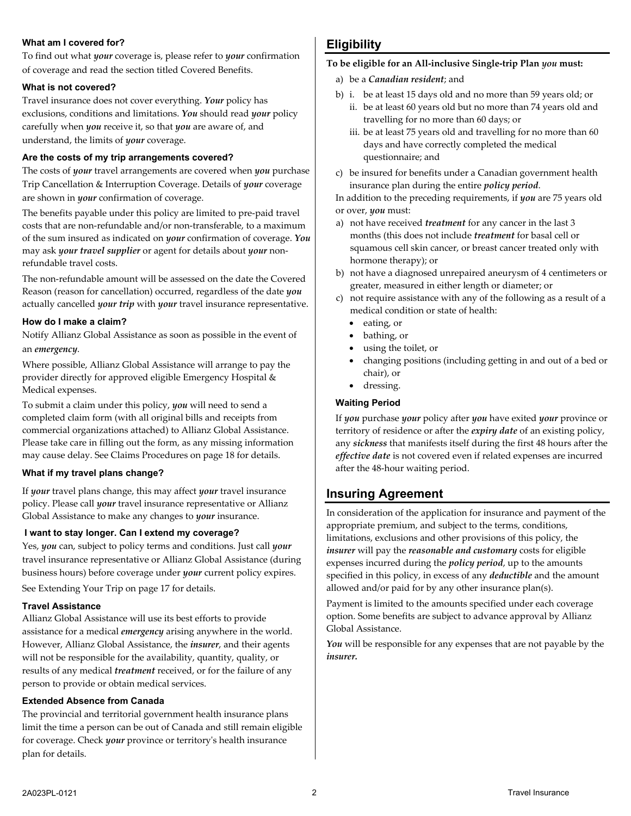# **What am I covered for?**

To find out what *your* coverage is, please refer to *your* confirmation of coverage and read the section titled Covered Benefits.

#### **What is not covered?**

Travel insurance does not cover everything. *Your* policy has exclusions, conditions and limitations. *You* should read *your* policy carefully when *you* receive it, so that *you* are aware of, and understand, the limits of *your* coverage.

#### **Are the costs of my trip arrangements covered?**

The costs of *your* travel arrangements are covered when *you* purchase Trip Cancellation & Interruption Coverage. Details of *your* coverage are shown in *your* confirmation of coverage.

The benefits payable under this policy are limited to pre-paid travel costs that are non-refundable and/or non-transferable, to a maximum of the sum insured as indicated on *your* confirmation of coverage. *You* may ask *your travel supplier* or agent for details about *your* nonrefundable travel costs.

The non-refundable amount will be assessed on the date the Covered Reason (reason for cancellation) occurred, regardless of the date *you* actually cancelled *your trip* with *your* travel insurance representative.

#### **How do I make a claim?**

Notify Allianz Global Assistance as soon as possible in the event of an *emergency*.

Where possible, Allianz Global Assistance will arrange to pay the provider directly for approved eligible Emergency Hospital & Medical expenses.

To submit a claim under this policy, *you* will need to send a completed claim form (with all original bills and receipts from commercial organizations attached) to Allianz Global Assistance. Please take care in filling out the form, as any missing information may cause delay. See Claims Procedures on page [18](#page-17-1) for details.

# **What if my travel plans change?**

If *your* travel plans change, this may affect *your* travel insurance policy. Please call *your* travel insurance representative or Allianz Global Assistance to make any changes to *your* insurance.

#### **I want to stay longer. Can I extend my coverage?**

Yes, *you* can, subject to policy terms and conditions. Just call *your* travel insurance representative or Allianz Global Assistance (during business hours) before coverage under *your* current policy expires.

See Extending Your Trip on pag[e 17](#page-16-0) for details.

# **Travel Assistance**

Allianz Global Assistance will use its best efforts to provide assistance for a medical *emergency* arising anywhere in the world. However, Allianz Global Assistance, the *insurer*, and their agents will not be responsible for the availability, quantity, quality, or results of any medical *treatment* received, or for the failure of any person to provide or obtain medical services.

# **Extended Absence from Canada**

The provincial and territorial government health insurance plans limit the time a person can be out of Canada and still remain eligible for coverage. Check *your* province or territory's health insurance plan for details.

# <span id="page-1-0"></span>**Eligibility**

# **To be eligible for an All-inclusive Single-trip Plan** *you* **must:**

- a) be a *Canadian resident*; and
- b) i. be at least 15 days old and no more than 59 years old; or
	- ii. be at least 60 years old but no more than 74 years old and travelling for no more than 60 days; or
	- iii. be at least 75 years old and travelling for no more than 60 days and have correctly completed the medical questionnaire; and
- c) be insured for benefits under a Canadian government health insurance plan during the entire *policy period*.

In addition to the preceding requirements, if *you* are 75 years old or over, *you* must:

- a) not have received *treatment* for any cancer in the last 3 months (this does not include *treatment* for basal cell or squamous cell skin cancer, or breast cancer treated only with hormone therapy); or
- b) not have a diagnosed unrepaired aneurysm of 4 centimeters or greater, measured in either length or diameter; or
- c) not require assistance with any of the following as a result of a medical condition or state of health:
	- eating, or
	- bathing, or
	- using the toilet, or
	- changing positions (including getting in and out of a bed or chair), or
	- dressing.

# **Waiting Period**

If *you* purchase *your* policy after *you* have exited *your* province or territory of residence or after the *expiry date* of an existing policy, any *sickness* that manifests itself during the first 48 hours after the *effective date* is not covered even if related expenses are incurred after the 48-hour waiting period.

# **Insuring Agreement**

In consideration of the application for insurance and payment of the appropriate premium, and subject to the terms, conditions, limitations, exclusions and other provisions of this policy, the *insurer* will pay the *reasonable and customary* costs for eligible expenses incurred during the *policy period*, up to the amounts specified in this policy, in excess of any *deductible* and the amount allowed and/or paid for by any other insurance plan(s).

Payment is limited to the amounts specified under each coverage option. Some benefits are subject to advance approval by Allianz Global Assistance.

You will be responsible for any expenses that are not payable by the *insurer.*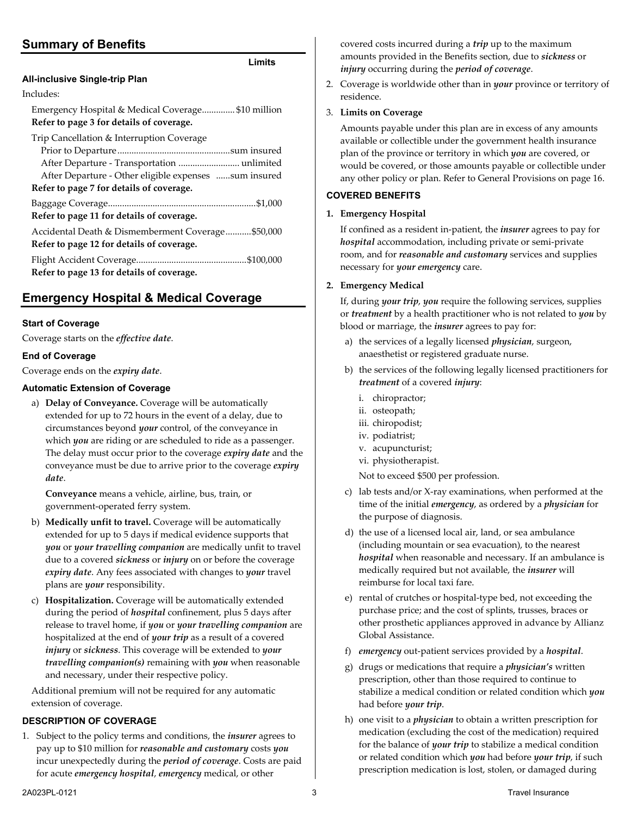# <span id="page-2-0"></span>**Summary of Benefits**

# **Limits**

| LIMIIS                                                                                        |
|-----------------------------------------------------------------------------------------------|
| All-inclusive Single-trip Plan                                                                |
| Includes:                                                                                     |
| Emergency Hospital & Medical Coverage\$10 million<br>Refer to page 3 for details of coverage. |
| Trip Cancellation & Interruption Coverage                                                     |
|                                                                                               |
| After Departure - Transportation  unlimited                                                   |
| After Departure - Other eligible expenses sum insured                                         |
| Refer to page 7 for details of coverage.                                                      |
|                                                                                               |
| Refer to page 11 for details of coverage.                                                     |
| Accidental Death & Dismemberment Coverage\$50,000                                             |
| Refer to page 12 for details of coverage.                                                     |
|                                                                                               |
| Refer to page 13 for details of coverage.                                                     |
|                                                                                               |

# <span id="page-2-1"></span>**Emergency Hospital & Medical Coverage**

# **Start of Coverage**

Coverage starts on the *effective date*.

#### **End of Coverage**

Coverage ends on the *expiry date*.

# **Automatic Extension of Coverage**

a) **Delay of Conveyance.** Coverage will be automatically extended for up to 72 hours in the event of a delay, due to circumstances beyond *your* control, of the conveyance in which *you* are riding or are scheduled to ride as a passenger. The delay must occur prior to the coverage *expiry date* and the conveyance must be due to arrive prior to the coverage *expiry date*.

**Conveyance** means a vehicle, airline, bus, train, or government-operated ferry system.

- b) **Medically unfit to travel.** Coverage will be automatically extended for up to 5 days if medical evidence supports that *you* or *your travelling companion* are medically unfit to travel due to a covered *sickness* or *injury* on or before the coverage *expiry date*. Any fees associated with changes to *your* travel plans are *your* responsibility.
- c) **Hospitalization.** Coverage will be automatically extended during the period of *hospital* confinement, plus 5 days after release to travel home, if *you* or *your travelling companion* are hospitalized at the end of *your trip* as a result of a covered *injury* or *sickness*. This coverage will be extended to *your travelling companion(s)* remaining with *you* when reasonable and necessary, under their respective policy.

Additional premium will not be required for any automatic extension of coverage.

#### **DESCRIPTION OF COVERAGE**

1. Subject to the policy terms and conditions, the *insurer* agrees to pay up to \$10 million for *reasonable and customary* costs *you* incur unexpectedly during the *period of coverage*. Costs are paid for acute *emergency hospital*, *emergency* medical, or other

covered costs incurred during a *trip* up to the maximum amounts provided in the Benefits section, due to *sickness* or *injury* occurring during the *period of coverage*.

2. Coverage is worldwide other than in *your* province or territory of residence.

# 3. **Limits on Coverage**

Amounts payable under this plan are in excess of any amounts available or collectible under the government health insurance plan of the province or territory in which *you* are covered, or would be covered, or those amounts payable or collectible under any other policy or plan. Refer to General Provisions on pag[e 16.](#page-15-0)

# **COVERED BENEFITS**

# **1. Emergency Hospital**

If confined as a resident in-patient, the *insurer* agrees to pay for *hospital* accommodation, including private or semi-private room, and for *reasonable and customary* services and supplies necessary for *your emergency* care.

#### **2. Emergency Medical**

If, during *your trip*, *you* require the following services, supplies or *treatment* by a health practitioner who is not related to *you* by blood or marriage, the *insurer* agrees to pay for:

- a) the services of a legally licensed *physician*, surgeon, anaesthetist or registered graduate nurse.
- b) the services of the following legally licensed practitioners for *treatment* of a covered *injury*:
	- i. chiropractor;
	- ii. osteopath;
	- iii. chiropodist;
	- iv. podiatrist;
	- v. acupuncturist;
	- vi. physiotherapist.

Not to exceed \$500 per profession.

- c) lab tests and/or X-ray examinations, when performed at the time of the initial *emergency*, as ordered by a *physician* for the purpose of diagnosis.
- d) the use of a licensed local air, land, or sea ambulance (including mountain or sea evacuation), to the nearest *hospital* when reasonable and necessary. If an ambulance is medically required but not available, the *insurer* will reimburse for local taxi fare.
- e) rental of crutches or hospital-type bed, not exceeding the purchase price; and the cost of splints, trusses, braces or other prosthetic appliances approved in advance by Allianz Global Assistance.
- f) *emergency* out-patient services provided by a *hospital*.
- g) drugs or medications that require a *physician's* written prescription, other than those required to continue to stabilize a medical condition or related condition which *you* had before *your trip*.
- h) one visit to a *physician* to obtain a written prescription for medication (excluding the cost of the medication) required for the balance of *your trip* to stabilize a medical condition or related condition which *you* had before *your trip*, if such prescription medication is lost, stolen, or damaged during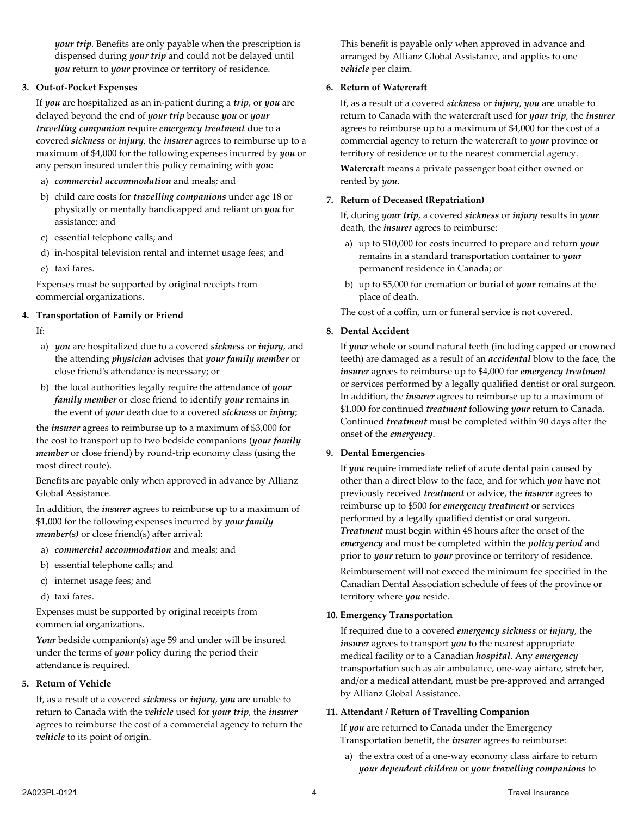*your trip*. Benefits are only payable when the prescription is dispensed during *your trip* and could not be delayed until *you* return to *your* province or territory of residence.

#### **3. Out-of-Pocket Expenses**

If *you* are hospitalized as an in-patient during a *trip*, or *you* are delayed beyond the end of *your trip* because *you* or *your travelling companion* require *emergency treatment* due to a covered *sickness* or *injury*, the *insurer* agrees to reimburse up to a maximum of \$4,000 for the following expenses incurred by *you* or any person insured under this policy remaining with *you*:

- a) *commercial accommodation* and meals; and
- b) child care costs for *travelling companions* under age 18 or physically or mentally handicapped and reliant on *you* for assistance; and
- c) essential telephone calls; and
- d) in-hospital television rental and internet usage fees; and
- e) taxi fares.

Expenses must be supported by original receipts from commercial organizations.

#### **4. Transportation of Family or Friend**

If:

- a) *you* are hospitalized due to a covered *sickness* or *injury*, and the attending *physician* advises that *your family member* or close friend's attendance is necessary; or
- b) the local authorities legally require the attendance of *your family member* or close friend to identify *your* remains in the event of *your* death due to a covered *sickness* or *injury*;

the *insurer* agrees to reimburse up to a maximum of \$3,000 for the cost to transport up to two bedside companions (*your family member* or close friend) by round-trip economy class (using the most direct route).

Benefits are payable only when approved in advance by Allianz Global Assistance.

In addition, the *insurer* agrees to reimburse up to a maximum of \$1,000 for the following expenses incurred by *your family member(s)* or close friend(s) after arrival:

- a) *commercial accommodation* and meals; and
- b) essential telephone calls; and
- c) internet usage fees; and
- d) taxi fares.

Expenses must be supported by original receipts from commercial organizations.

*Your* bedside companion(s) age 59 and under will be insured under the terms of *your* policy during the period their attendance is required.

#### **5. Return of Vehicle**

If, as a result of a covered *sickness* or *injury*, *you* are unable to return to Canada with the *vehicle* used for *your trip*, the *insurer* agrees to reimburse the cost of a commercial agency to return the *vehicle* to its point of origin.

This benefit is payable only when approved in advance and arranged by Allianz Global Assistance, and applies to one *vehicle* per claim.

#### **6. Return of Watercraft**

If, as a result of a covered *sickness* or *injury*, *you* are unable to return to Canada with the watercraft used for *your trip*, the *insurer* agrees to reimburse up to a maximum of \$4,000 for the cost of a commercial agency to return the watercraft to *your* province or territory of residence or to the nearest commercial agency.

**Watercraft** means a private passenger boat either owned or rented by *you*.

#### **7. Return of Deceased (Repatriation)**

If, during *your trip*, a covered *sickness* or *injury* results in *your* death, the *insurer* agrees to reimburse:

- a) up to \$10,000 for costs incurred to prepare and return *your* remains in a standard transportation container to *your* permanent residence in Canada; or
- b) up to \$5,000 for cremation or burial of *your* remains at the place of death.

The cost of a coffin, urn or funeral service is not covered.

#### **8. Dental Accident**

If *your* whole or sound natural teeth (including capped or crowned teeth) are damaged as a result of an *accidental* blow to the face, the *insurer* agrees to reimburse up to \$4,000 for *emergency treatment* or services performed by a legally qualified dentist or oral surgeon. In addition, the *insurer* agrees to reimburse up to a maximum of \$1,000 for continued *treatment* following *your* return to Canada. Continued *treatment* must be completed within 90 days after the onset of the *emergency*.

#### **9. Dental Emergencies**

If *you* require immediate relief of acute dental pain caused by other than a direct blow to the face, and for which *you* have not previously received *treatment* or advice, the *insurer* agrees to reimburse up to \$500 for *emergency treatment* or services performed by a legally qualified dentist or oral surgeon. *Treatment* must begin within 48 hours after the onset of the *emergency* and must be completed within the *policy period* and prior to *your* return to *your* province or territory of residence.

Reimbursement will not exceed the minimum fee specified in the Canadian Dental Association schedule of fees of the province or territory where *you* reside.

#### **10. Emergency Transportation**

If required due to a covered *emergency sickness* or *injury*, the *insurer* agrees to transport *you* to the nearest appropriate medical facility or to a Canadian *hospital*. Any *emergency* transportation such as air ambulance, one-way airfare, stretcher, and/or a medical attendant, must be pre-approved and arranged by Allianz Global Assistance.

#### **11. Attendant / Return of Travelling Companion**

If *you* are returned to Canada under the Emergency Transportation benefit, the *insurer* agrees to reimburse:

a) the extra cost of a one-way economy class airfare to return *your dependent children* or *your travelling companions* to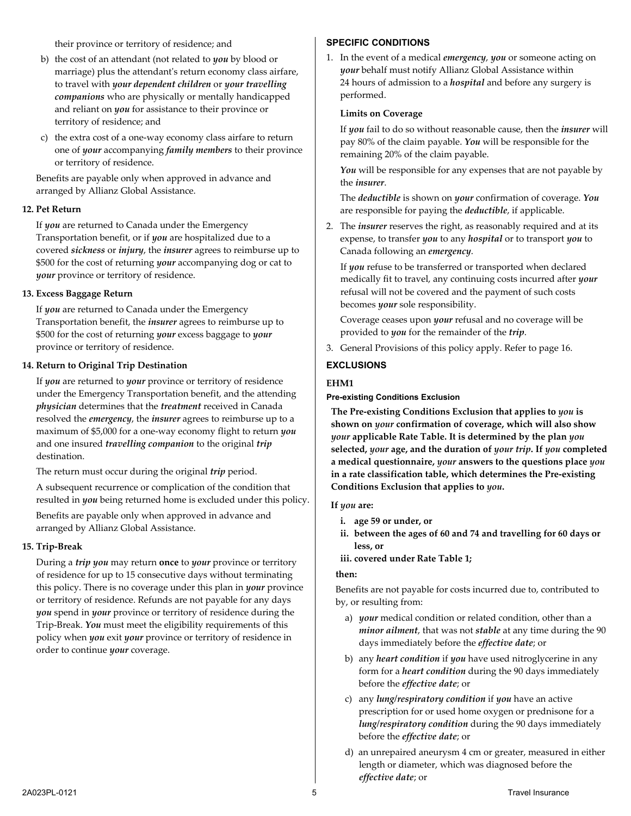their province or territory of residence; and

- b) the cost of an attendant (not related to *you* by blood or marriage) plus the attendant's return economy class airfare, to travel with *your dependent children* or *your travelling companions* who are physically or mentally handicapped and reliant on *you* for assistance to their province or territory of residence; and
- c) the extra cost of a one-way economy class airfare to return one of *your* accompanying *family members* to their province or territory of residence.

Benefits are payable only when approved in advance and arranged by Allianz Global Assistance.

#### **12. Pet Return**

If *you* are returned to Canada under the Emergency Transportation benefit, or if *you* are hospitalized due to a covered *sickness* or *injury*, the *insurer* agrees to reimburse up to \$500 for the cost of returning *your* accompanying dog or cat to *your* province or territory of residence.

#### **13. Excess Baggage Return**

If *you* are returned to Canada under the Emergency Transportation benefit, the *insurer* agrees to reimburse up to \$500 for the cost of returning *your* excess baggage to *your* province or territory of residence.

#### **14. Return to Original Trip Destination**

If *you* are returned to *your* province or territory of residence under the Emergency Transportation benefit, and the attending *physician* determines that the *treatment* received in Canada resolved the *emergency*, the *insurer* agrees to reimburse up to a maximum of \$5,000 for a one-way economy flight to return *you* and one insured *travelling companion* to the original *trip* destination.

The return must occur during the original *trip* period.

A subsequent recurrence or complication of the condition that resulted in *you* being returned home is excluded under this policy.

Benefits are payable only when approved in advance and arranged by Allianz Global Assistance.

#### **15. Trip-Break**

During a *trip you* may return **once** to *your* province or territory of residence for up to 15 consecutive days without terminating this policy. There is no coverage under this plan in *your* province or territory of residence. Refunds are not payable for any days *you* spend in *your* province or territory of residence during the Trip-Break. *You* must meet the eligibility requirements of this policy when *you* exit *your* province or territory of residence in order to continue *your* coverage.

# **SPECIFIC CONDITIONS**

1. In the event of a medical *emergency*, *you* or someone acting on *your* behalf must notify Allianz Global Assistance within 24 hours of admission to a *hospital* and before any surgery is performed.

#### **Limits on Coverage**

If *you* fail to do so without reasonable cause, then the *insurer* will pay 80% of the claim payable. *You* will be responsible for the remaining 20% of the claim payable.

You will be responsible for any expenses that are not payable by the *insurer*.

The *deductible* is shown on *your* confirmation of coverage. *You* are responsible for paying the *deductible*, if applicable.

2. The *insurer* reserves the right, as reasonably required and at its expense, to transfer *you* to any *hospital* or to transport *you* to Canada following an *emergency*.

If *you* refuse to be transferred or transported when declared medically fit to travel, any continuing costs incurred after *your* refusal will not be covered and the payment of such costs becomes *your* sole responsibility.

Coverage ceases upon *your* refusal and no coverage will be provided to *you* for the remainder of the *trip*.

3. General Provisions of this policy apply. Refer to page [16.](#page-15-0)

# **EXCLUSIONS**

#### **EHM1**

#### **Pre-existing Conditions Exclusion**

**The Pre-existing Conditions Exclusion that applies to** *you* **is shown on** *your* **confirmation of coverage, which will also show**  *your* **applicable Rate Table. It is determined by the plan** *you* **selected,** *your* **age, and the duration of** *your trip***. If** *you* **completed a medical questionnaire,** *your* **answers to the questions place** *you* **in a rate classification table, which determines the Pre-existing Conditions Exclusion that applies to** *you***.** 

#### **If** *you* **are:**

- **i. age 59 or under, or**
- **ii. between the ages of 60 and 74 and travelling for 60 days or less, or**
- **iii. covered under Rate Table 1;**

#### **then:**

Benefits are not payable for costs incurred due to, contributed to by, or resulting from:

- a) *your* medical condition or related condition, other than a *minor ailment*, that was not *stable* at any time during the 90 days immediately before the *effective date*; or
- b) any *heart condition* if *you* have used nitroglycerine in any form for a *heart condition* during the 90 days immediately before the *effective date*; or
- c) any *lung/respiratory condition* if *you* have an active prescription for or used home oxygen or prednisone for a *lung/respiratory condition* during the 90 days immediately before the *effective date*; or
- d) an unrepaired aneurysm 4 cm or greater, measured in either length or diameter, which was diagnosed before the *effective date*; or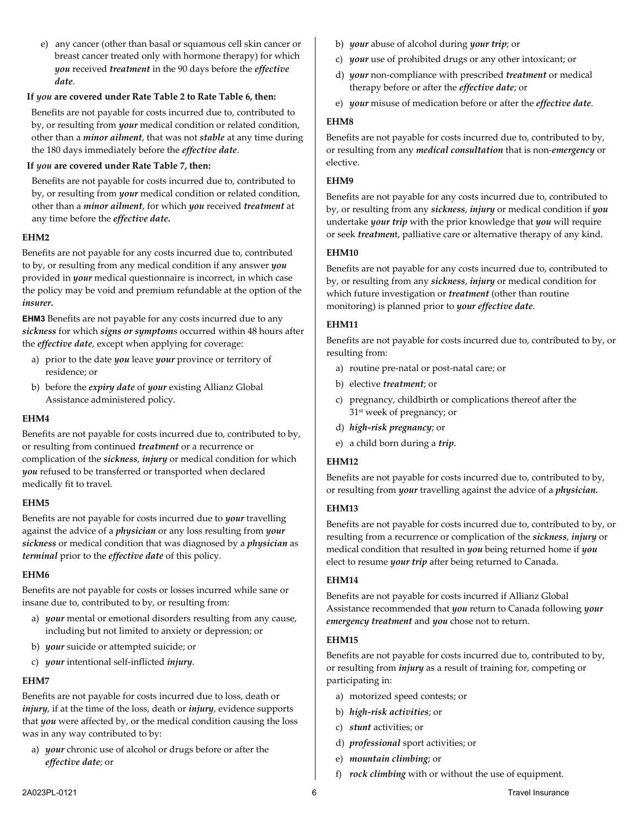e) any cancer (other than basal or squamous cell skin cancer or breast cancer treated only with hormone therapy) for which *you* received *treatment* in the 90 days before the *effective date*.

# **If** *you* **are covered under Rate Table 2 to Rate Table 6, then:**

Benefits are not payable for costs incurred due to, contributed to by, or resulting from *your* medical condition or related condition, other than a *minor ailment*, that was not *stable* at any time during the 180 days immediately before the *effective date*.

# **If** *you* **are covered under Rate Table 7, then:**

Benefits are not payable for costs incurred due to, contributed to by, or resulting from *your* medical condition or related condition, other than a *minor ailment*, for which *you* received *treatment* at any time before the *effective date.* 

# **EHM2**

Benefits are not payable for any costs incurred due to, contributed to by, or resulting from any medical condition if any answer *you* provided in *your* medical questionnaire is incorrect, in which case the policy may be void and premium refundable at the option of the *insurer.*

**EHM3** Benefits are not payable for any costs incurred due to any *sickness* for which *signs or symptom*s occurred within 48 hours after the *effective date*, except when applying for coverage:

- a) prior to the date *you* leave *your* province or territory of residence; or
- b) before the *expiry date* of *your* existing Allianz Global Assistance administered policy.

#### **EHM4**

Benefits are not payable for costs incurred due to, contributed to by, or resulting from continued *treatment* or a recurrence or complication of the *sickness*, *injury* or medical condition for which *you* refused to be transferred or transported when declared medically fit to travel.

# **EHM5**

Benefits are not payable for costs incurred due to *your* travelling against the advice of a *physician* or any loss resulting from *your sickness* or medical condition that was diagnosed by a *physician* as *terminal* prior to the *effective date* of this policy.

# **EHM6**

Benefits are not payable for costs or losses incurred while sane or insane due to, contributed to by, or resulting from:

- a) *your* mental or emotional disorders resulting from any cause, including but not limited to anxiety or depression; or
- b) *your* suicide or attempted suicide; or
- c) *your* intentional self-inflicted *injury*.

# **EHM7**

Benefits are not payable for costs incurred due to loss, death or *injury*, if at the time of the loss, death or *injury*, evidence supports that *you* were affected by, or the medical condition causing the loss was in any way contributed to by:

a) *your* chronic use of alcohol or drugs before or after the *effective date*; or

- b) *your* abuse of alcohol during *your trip*; or
- c) *your* use of prohibited drugs or any other intoxicant; or
- d) *your* non-compliance with prescribed *treatment* or medical therapy before or after the *effective date*; or
- e) *your* misuse of medication before or after the *effective date*.

# **EHM8**

Benefits are not payable for costs incurred due to, contributed to by, or resulting from any *medical consultation* that is non-*emergency* or elective.

# **EHM9**

Benefits are not payable for any costs incurred due to, contributed to by, or resulting from any *sickness*, *injury* or medical condition if *you* undertake *your trip* with the prior knowledge that *you* will require or seek *treatmen*t, palliative care or alternative therapy of any kind.

# **EHM10**

Benefits are not payable for any costs incurred due to, contributed to by, or resulting from any *sickness*, *injury* or medical condition for which future investigation or *treatment* (other than routine monitoring) is planned prior to *your effective date*.

# **EHM11**

Benefits are not payable for costs incurred due to, contributed to by, or resulting from:

- a) routine pre-natal or post-natal care; or
- b) elective *treatment*; or
- c) pregnancy, childbirth or complications thereof after the 31st week of pregnancy; or
- d) *high-risk pregnancy*; or
- e) a child born during a *trip*.

# **EHM12**

Benefits are not payable for costs incurred due to, contributed to by, or resulting from *your* travelling against the advice of a *physician.*

# **EHM13**

Benefits are not payable for costs incurred due to, contributed to by, or resulting from a recurrence or complication of the *sickness*, *injury* or medical condition that resulted in *you* being returned home if *you* elect to resume *your trip* after being returned to Canada.

# **EHM14**

Benefits are not payable for costs incurred if Allianz Global Assistance recommended that *you* return to Canada following *your emergency treatment* and *you* chose not to return.

# **EHM15**

Benefits are not payable for costs incurred due to, contributed to by, or resulting from *injury* as a result of training for, competing or participating in:

- a) motorized speed contests; or
- b) *high-risk activities*; or
- c) *stunt* activities; or
- d) *professional* sport activities; or
- e) *mountain climbing*; or
- f) *rock climbing* with or without the use of equipment.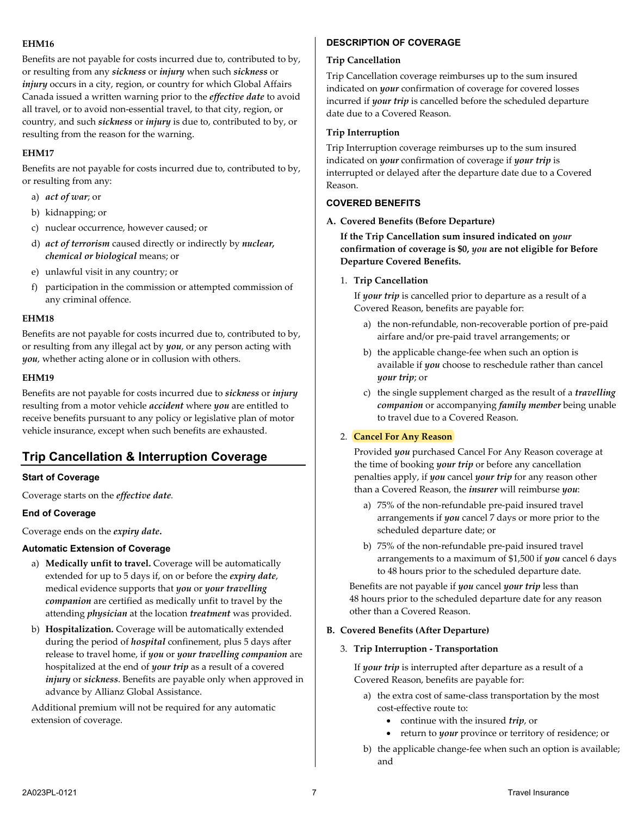# **EHM16**

Benefits are not payable for costs incurred due to, contributed to by, or resulting from any *sickness* or *injury* when such *sickness* or *injury* occurs in a city, region, or country for which Global Affairs Canada issued a written warning prior to the *effective date* to avoid all travel, or to avoid non-essential travel, to that city, region, or country, and such *sickness* or *injury* is due to, contributed to by, or resulting from the reason for the warning.

# **EHM17**

Benefits are not payable for costs incurred due to, contributed to by, or resulting from any:

- a) *act of war*; or
- b) kidnapping; or
- c) nuclear occurrence, however caused; or
- d) *act of terrorism* caused directly or indirectly by *nuclear, chemical or biological* means; or
- e) unlawful visit in any country; or
- f) participation in the commission or attempted commission of any criminal offence.

# **EHM18**

Benefits are not payable for costs incurred due to, contributed to by, or resulting from any illegal act by *you*, or any person acting with *you*, whether acting alone or in collusion with others.

# **EHM19**

Benefits are not payable for costs incurred due to *sickness* or *injury* resulting from a motor vehicle *accident* where *you* are entitled to receive benefits pursuant to any policy or legislative plan of motor vehicle insurance, except when such benefits are exhausted.

# <span id="page-6-0"></span>**Trip Cancellation & Interruption Coverage**

# **Start of Coverage**

Coverage starts on the *effective date.* 

# **End of Coverage**

Coverage ends on the *expiry date***.** 

#### **Automatic Extension of Coverage**

- a) **Medically unfit to travel.** Coverage will be automatically extended for up to 5 days if, on or before the *expiry date*, medical evidence supports that *you* or *your travelling companion* are certified as medically unfit to travel by the attending *physician* at the location *treatment* was provided.
- b) **Hospitalization.** Coverage will be automatically extended during the period of *hospital* confinement, plus 5 days after release to travel home, if *you* or *your travelling companion* are hospitalized at the end of *your trip* as a result of a covered *injury* or *sickness*. Benefits are payable only when approved in advance by Allianz Global Assistance.

Additional premium will not be required for any automatic extension of coverage.

# **DESCRIPTION OF COVERAGE**

#### **Trip Cancellation**

Trip Cancellation coverage reimburses up to the sum insured indicated on *your* confirmation of coverage for covered losses incurred if *your trip* is cancelled before the scheduled departure date due to a Covered Reason.

### **Trip Interruption**

Trip Interruption coverage reimburses up to the sum insured indicated on *your* confirmation of coverage if *your trip* is interrupted or delayed after the departure date due to a Covered Reason.

# **COVERED BENEFITS**

#### **A. Covered Benefits (Before Departure)**

**If the Trip Cancellation sum insured indicated on** *your* **confirmation of coverage is \$0,** *you* **are not eligible for Before Departure Covered Benefits.**

# 1. **Trip Cancellation**

If *your trip* is cancelled prior to departure as a result of a Covered Reason, benefits are payable for:

- a) the non-refundable, non-recoverable portion of pre-paid airfare and/or pre-paid travel arrangements; or
- b) the applicable change-fee when such an option is available if *you* choose to reschedule rather than cancel *your trip*; or
- c) the single supplement charged as the result of a *travelling companion* or accompanying *family member* being unable to travel due to a Covered Reason.

# 2. **Cancel For Any Reason**

Provided *you* purchased Cancel For Any Reason coverage at the time of booking *your trip* or before any cancellation penalties apply, if *you* cancel *your trip* for any reason other than a Covered Reason, the *insurer* will reimburse *you*:

- a) 75% of the non-refundable pre-paid insured travel arrangements if *you* cancel 7 days or more prior to the scheduled departure date; or
- b) 75% of the non-refundable pre-paid insured travel arrangements to a maximum of \$1,500 if *you* cancel 6 days to 48 hours prior to the scheduled departure date.

Benefits are not payable if *you* cancel *your trip* less than 48 hours prior to the scheduled departure date for any reason other than a Covered Reason.

#### **B. Covered Benefits (After Departure)**

#### 3. **Trip Interruption - Transportation**

If *your trip* is interrupted after departure as a result of a Covered Reason, benefits are payable for:

- a) the extra cost of same-class transportation by the most cost-effective route to:
	- continue with the insured *trip*, or
	- return to *your* province or territory of residence; or
- b) the applicable change-fee when such an option is available; and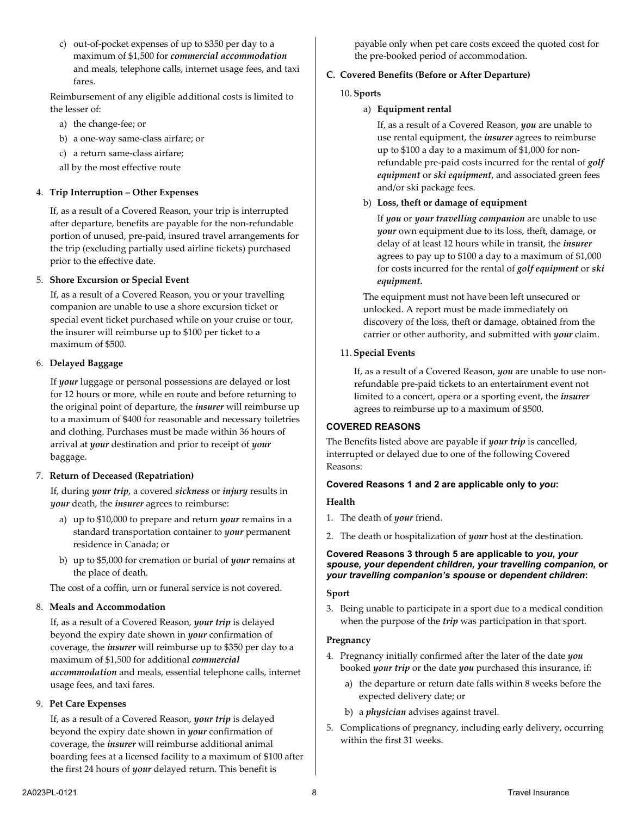c) out-of-pocket expenses of up to \$350 per day to a maximum of \$1,500 for *commercial accommodation* and meals, telephone calls, internet usage fees, and taxi fares.

Reimbursement of any eligible additional costs is limited to the lesser of:

- a) the change-fee; or
- b) a one-way same-class airfare; or
- c) a return same-class airfare;
- all by the most effective route

#### 4. **Trip Interruption – Other Expenses**

If, as a result of a Covered Reason, your trip is interrupted after departure, benefits are payable for the non-refundable portion of unused, pre-paid, insured travel arrangements for the trip (excluding partially used airline tickets) purchased prior to the effective date.

#### 5. **Shore Excursion or Special Event**

If, as a result of a Covered Reason, you or your travelling companion are unable to use a shore excursion ticket or special event ticket purchased while on your cruise or tour, the insurer will reimburse up to \$100 per ticket to a maximum of \$500.

#### 6. **Delayed Baggage**

If *your* luggage or personal possessions are delayed or lost for 12 hours or more, while en route and before returning to the original point of departure, the *insurer* will reimburse up to a maximum of \$400 for reasonable and necessary toiletries and clothing. Purchases must be made within 36 hours of arrival at *your* destination and prior to receipt of *your* baggage.

#### 7. **Return of Deceased (Repatriation)**

If, during *your trip*, a covered *sickness* or *injury* results in *your* death, the *insurer* agrees to reimburse:

- a) up to \$10,000 to prepare and return *your* remains in a standard transportation container to *your* permanent residence in Canada; or
- b) up to \$5,000 for cremation or burial of *your* remains at the place of death.

The cost of a coffin, urn or funeral service is not covered.

#### 8. **Meals and Accommodation**

If, as a result of a Covered Reason, *your trip* is delayed beyond the expiry date shown in *your* confirmation of coverage, the *insurer* will reimburse up to \$350 per day to a maximum of \$1,500 for additional *commercial accommodation* and meals, essential telephone calls, internet usage fees, and taxi fares.

#### 9. **Pet Care Expenses**

If, as a result of a Covered Reason, *your trip* is delayed beyond the expiry date shown in *your* confirmation of coverage, the *insurer* will reimburse additional animal boarding fees at a licensed facility to a maximum of \$100 after the first 24 hours of *your* delayed return. This benefit is

payable only when pet care costs exceed the quoted cost for the pre-booked period of accommodation.

#### **C. Covered Benefits (Before or After Departure)**

#### 10. **Sports**

a) **Equipment rental**

If, as a result of a Covered Reason, *you* are unable to use rental equipment, the *insurer* agrees to reimburse up to \$100 a day to a maximum of \$1,000 for nonrefundable pre-paid costs incurred for the rental of *golf equipment* or *ski equipment*, and associated green fees and/or ski package fees.

#### b) **Loss, theft or damage of equipment**

If *you* or *your travelling companion* are unable to use *your* own equipment due to its loss, theft, damage, or delay of at least 12 hours while in transit, the *insurer* agrees to pay up to \$100 a day to a maximum of \$1,000 for costs incurred for the rental of *golf equipment* or *ski equipment.*

The equipment must not have been left unsecured or unlocked. A report must be made immediately on discovery of the loss, theft or damage, obtained from the carrier or other authority, and submitted with *your* claim.

#### 11. **Special Events**

If, as a result of a Covered Reason, *you* are unable to use nonrefundable pre-paid tickets to an entertainment event not limited to a concert, opera or a sporting event, the *insurer* agrees to reimburse up to a maximum of \$500.

#### **COVERED REASONS**

The Benefits listed above are payable if *your trip* is cancelled, interrupted or delayed due to one of the following Covered Reasons:

### **Covered Reasons 1 and 2 are applicable only to** *you***:**

#### **Health**

- 1. The death of *your* friend.
- 2. The death or hospitalization of *your* host at the destination.

#### **Covered Reasons 3 through 5 are applicable to** *you, your spouse, your dependent children, your travelling companion,* **or** *your travelling companion's spouse* **or** *dependent children***:**

#### **Sport**

3. Being unable to participate in a sport due to a medical condition when the purpose of the *trip* was participation in that sport.

#### **Pregnancy**

- 4. Pregnancy initially confirmed after the later of the date *you* booked *your trip* or the date *you* purchased this insurance, if:
	- a) the departure or return date falls within 8 weeks before the expected delivery date; or
	- b) a *physician* advises against travel.
- 5. Complications of pregnancy, including early delivery, occurring within the first 31 weeks.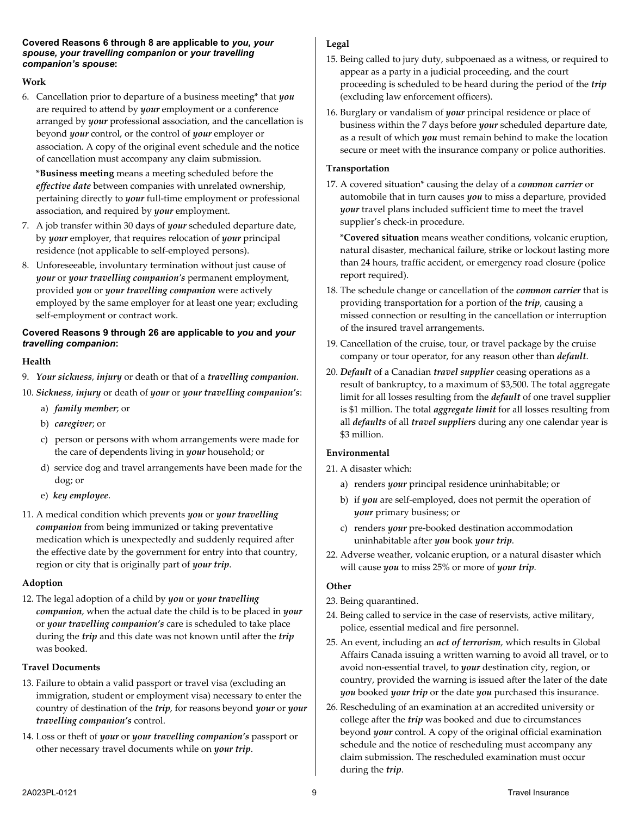#### **Covered Reasons 6 through 8 are applicable to** *you, your spouse, your travelling companion* **or** *your travelling companion's spouse***:**

# **Work**

6. Cancellation prior to departure of a business meeting\* that *you* are required to attend by *your* employment or a conference arranged by *your* professional association, and the cancellation is beyond *your* control, or the control of *your* employer or association. A copy of the original event schedule and the notice of cancellation must accompany any claim submission.

\***Business meeting** means a meeting scheduled before the *effective date* between companies with unrelated ownership, pertaining directly to *your* full-time employment or professional association, and required by *your* employment.

- 7. A job transfer within 30 days of *your* scheduled departure date, by *your* employer, that requires relocation of *your* principal residence (not applicable to self-employed persons).
- 8. Unforeseeable, involuntary termination without just cause of *your* or *your travelling companion's* permanent employment, provided *you* or *your travelling companion* were actively employed by the same employer for at least one year; excluding self-employment or contract work.

### **Covered Reasons 9 through 26 are applicable to** *you* **and** *your travelling companion***:**

# **Health**

- 9. *Your sickness*, *injury* or death or that of a *travelling companion*.
- 10. *Sickness*, *injury* or death of *your* or *your travelling companion's*:
	- a) *family member*; or
	- b) *caregiver*; or
	- c) person or persons with whom arrangements were made for the care of dependents living in *your* household; or
	- d) service dog and travel arrangements have been made for the dog; or
	- e) *key employee*.
- 11. A medical condition which prevents *you* or *your travelling companion* from being immunized or taking preventative medication which is unexpectedly and suddenly required after the effective date by the government for entry into that country, region or city that is originally part of *your trip*.

# **Adoption**

12. The legal adoption of a child by *you* or *your travelling companion*, when the actual date the child is to be placed in *your* or *your travelling companion's* care is scheduled to take place during the *trip* and this date was not known until after the *trip* was booked.

# **Travel Documents**

- 13. Failure to obtain a valid passport or travel visa (excluding an immigration, student or employment visa) necessary to enter the country of destination of the *trip*, for reasons beyond *your* or *your travelling companion's* control.
- 14. Loss or theft of *your* or *your travelling companion's* passport or other necessary travel documents while on *your trip*.

# **Legal**

- 15. Being called to jury duty, subpoenaed as a witness, or required to appear as a party in a judicial proceeding, and the court proceeding is scheduled to be heard during the period of the *trip* (excluding law enforcement officers).
- 16. Burglary or vandalism of *your* principal residence or place of business within the 7 days before *your* scheduled departure date, as a result of which *you* must remain behind to make the location secure or meet with the insurance company or police authorities.

# **Transportation**

17. A covered situation\* causing the delay of a *common carrier* or automobile that in turn causes *you* to miss a departure, provided *your* travel plans included sufficient time to meet the travel supplier's check-in procedure.

\***Covered situation** means weather conditions, volcanic eruption, natural disaster, mechanical failure, strike or lockout lasting more than 24 hours, traffic accident, or emergency road closure (police report required).

- 18. The schedule change or cancellation of the *common carrier* that is providing transportation for a portion of the *trip*, causing a missed connection or resulting in the cancellation or interruption of the insured travel arrangements.
- 19. Cancellation of the cruise, tour, or travel package by the cruise company or tour operator, for any reason other than *default*.
- 20. *Default* of a Canadian *travel supplier* ceasing operations as a result of bankruptcy, to a maximum of \$3,500. The total aggregate limit for all losses resulting from the *default* of one travel supplier is \$1 million. The total *aggregate limit* for all losses resulting from all *defaults* of all *travel suppliers* during any one calendar year is \$3 million.

# **Environmental**

- 21. A disaster which:
	- a) renders *your* principal residence uninhabitable; or
	- b) if *you* are self-employed, does not permit the operation of *your* primary business; or
	- c) renders *your* pre-booked destination accommodation uninhabitable after *you* book *your trip*.
- 22. Adverse weather, volcanic eruption, or a natural disaster which will cause *you* to miss 25% or more of *your trip*.

# **Other**

- 23. Being quarantined.
- 24. Being called to service in the case of reservists, active military, police, essential medical and fire personnel.
- 25. An event, including an *act of terrorism*, which results in Global Affairs Canada issuing a written warning to avoid all travel, or to avoid non-essential travel, to *your* destination city, region, or country, provided the warning is issued after the later of the date *you* booked *your trip* or the date *you* purchased this insurance.
- 26. Rescheduling of an examination at an accredited university or college after the *trip* was booked and due to circumstances beyond *your* control. A copy of the original official examination schedule and the notice of rescheduling must accompany any claim submission. The rescheduled examination must occur during the *trip*.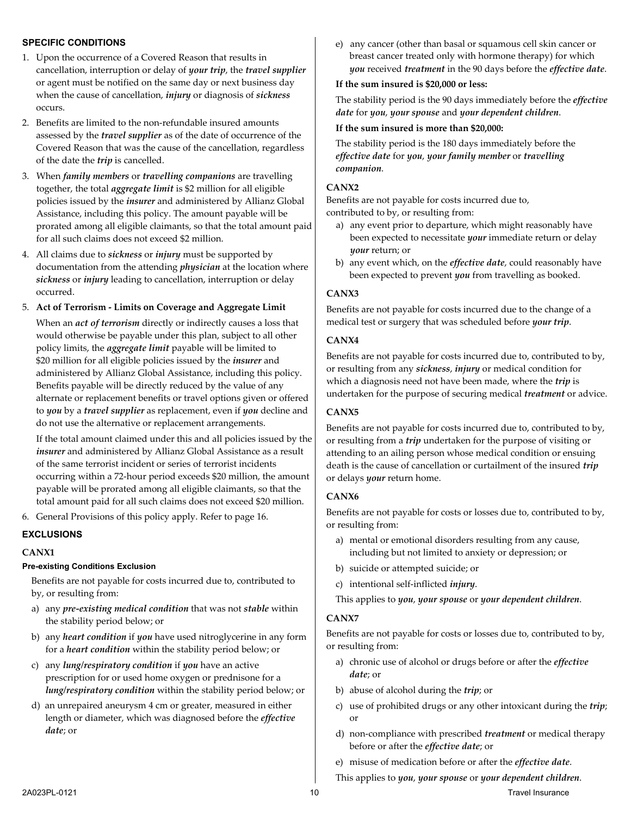### **SPECIFIC CONDITIONS**

- 1. Upon the occurrence of a Covered Reason that results in cancellation, interruption or delay of *your trip*, the *travel supplier* or agent must be notified on the same day or next business day when the cause of cancellation, *injury* or diagnosis of *sickness* occurs.
- 2. Benefits are limited to the non-refundable insured amounts assessed by the *travel supplier* as of the date of occurrence of the Covered Reason that was the cause of the cancellation, regardless of the date the *trip* is cancelled.
- 3. When *family members* or *travelling companions* are travelling together, the total *aggregate limit* is \$2 million for all eligible policies issued by the *insurer* and administered by Allianz Global Assistance, including this policy. The amount payable will be prorated among all eligible claimants, so that the total amount paid for all such claims does not exceed \$2 million.
- 4. All claims due to *sickness* or *injury* must be supported by documentation from the attending *physician* at the location where *sickness* or *injury* leading to cancellation, interruption or delay occurred.

#### 5. **Act of Terrorism - Limits on Coverage and Aggregate Limit**

When an *act of terrorism* directly or indirectly causes a loss that would otherwise be payable under this plan, subject to all other policy limits, the *aggregate limit* payable will be limited to \$20 million for all eligible policies issued by the *insurer* and administered by Allianz Global Assistance, including this policy. Benefits payable will be directly reduced by the value of any alternate or replacement benefits or travel options given or offered to *you* by a *travel supplier* as replacement, even if *you* decline and do not use the alternative or replacement arrangements.

If the total amount claimed under this and all policies issued by the *insurer* and administered by Allianz Global Assistance as a result of the same terrorist incident or series of terrorist incidents occurring within a 72-hour period exceeds \$20 million, the amount payable will be prorated among all eligible claimants, so that the total amount paid for all such claims does not exceed \$20 million.

6. General Provisions of this policy apply. Refer to page [16.](#page-15-0)

#### **EXCLUSIONS**

#### **CANX1**

#### **Pre-existing Conditions Exclusion**

Benefits are not payable for costs incurred due to, contributed to by, or resulting from:

- a) any *pre-existing medical condition* that was not *stable* within the stability period below; or
- b) any *heart condition* if *you* have used nitroglycerine in any form for a *heart condition* within the stability period below; or
- c) any *lung/respiratory condition* if *you* have an active prescription for or used home oxygen or prednisone for a *lung/respiratory condition* within the stability period below; or
- d) an unrepaired aneurysm 4 cm or greater, measured in either length or diameter, which was diagnosed before the *effective date*; or

e) any cancer (other than basal or squamous cell skin cancer or breast cancer treated only with hormone therapy) for which *you* received *treatment* in the 90 days before the *effective date*.

#### **If the sum insured is \$20,000 or less:**

The stability period is the 90 days immediately before the *effective date* for *you*, *your spouse* and *your dependent children*.

#### **If the sum insured is more than \$20,000:**

The stability period is the 180 days immediately before the *effective date* for *you*, *your family member* or *travelling companion*.

#### **CANX2**

Benefits are not payable for costs incurred due to, contributed to by, or resulting from:

- a) any event prior to departure, which might reasonably have been expected to necessitate *your* immediate return or delay *your* return; or
- b) any event which, on the *effective date*, could reasonably have been expected to prevent *you* from travelling as booked.

#### **CANX3**

Benefits are not payable for costs incurred due to the change of a medical test or surgery that was scheduled before *your trip*.

#### **CANX4**

Benefits are not payable for costs incurred due to, contributed to by, or resulting from any *sickness*, *injury* or medical condition for which a diagnosis need not have been made, where the *trip* is undertaken for the purpose of securing medical *treatment* or advice.

### **CANX5**

Benefits are not payable for costs incurred due to, contributed to by, or resulting from a *trip* undertaken for the purpose of visiting or attending to an ailing person whose medical condition or ensuing death is the cause of cancellation or curtailment of the insured *trip*  or delays *your* return home.

#### **CANX6**

Benefits are not payable for costs or losses due to, contributed to by, or resulting from:

- a) mental or emotional disorders resulting from any cause, including but not limited to anxiety or depression; or
- b) suicide or attempted suicide; or
- c) intentional self-inflicted *injury*.

This applies to *you*, *your spouse* or *your dependent children*.

#### **CANX7**

Benefits are not payable for costs or losses due to, contributed to by, or resulting from:

- a) chronic use of alcohol or drugs before or after the *effective date*; or
- b) abuse of alcohol during the *trip*; or
- c) use of prohibited drugs or any other intoxicant during the *trip*; or
- d) non-compliance with prescribed *treatment* or medical therapy before or after the *effective date*; or

e) misuse of medication before or after the *effective date*.

This applies to *you*, *your spouse* or *your dependent children*.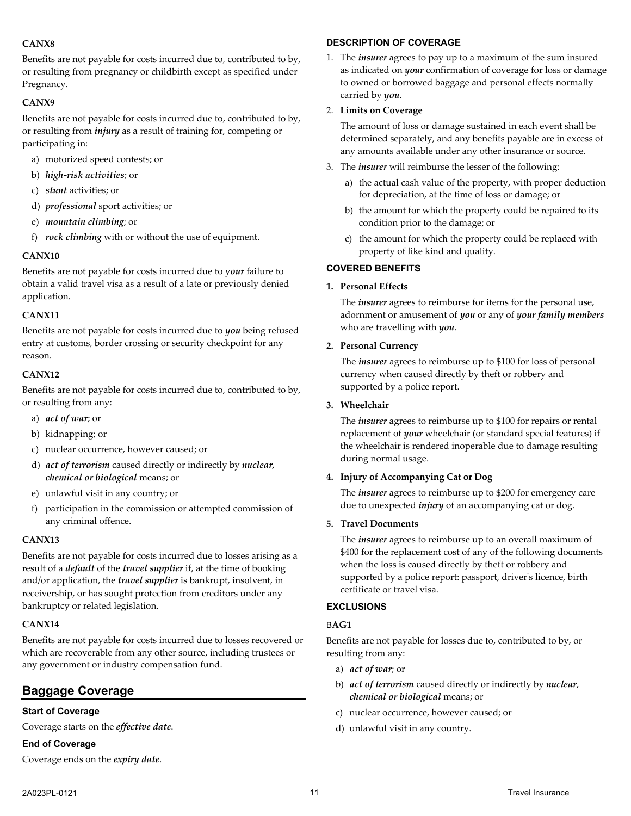# **CANX8**

Benefits are not payable for costs incurred due to, contributed to by, or resulting from pregnancy or childbirth except as specified under Pregnancy.

# **CANX9**

Benefits are not payable for costs incurred due to, contributed to by, or resulting from *injury* as a result of training for, competing or participating in:

- a) motorized speed contests; or
- b) *high-risk activities*; or
- c) *stunt* activities; or
- d) *professional* sport activities; or
- e) *mountain climbing*; or
- f) *rock climbing* with or without the use of equipment.

#### **CANX10**

Benefits are not payable for costs incurred due to y*our* failure to obtain a valid travel visa as a result of a late or previously denied application.

#### **CANX11**

Benefits are not payable for costs incurred due to *you* being refused entry at customs, border crossing or security checkpoint for any reason.

# **CANX12**

Benefits are not payable for costs incurred due to, contributed to by, or resulting from any:

- a) *act of war*; or
- b) kidnapping; or
- c) nuclear occurrence, however caused; or
- d) *act of terrorism* caused directly or indirectly by *nuclear, chemical or biological* means; or
- e) unlawful visit in any country; or
- f) participation in the commission or attempted commission of any criminal offence.

#### **CANX13**

Benefits are not payable for costs incurred due to losses arising as a result of a *default* of the *travel supplier* if, at the time of booking and/or application, the *travel supplier* is bankrupt, insolvent, in receivership, or has sought protection from creditors under any bankruptcy or related legislation.

#### **CANX14**

Benefits are not payable for costs incurred due to losses recovered or which are recoverable from any other source, including trustees or any government or industry compensation fund.

# <span id="page-10-0"></span>**Baggage Coverage**

# **Start of Coverage**

Coverage starts on the *effective date*.

#### **End of Coverage**

Coverage ends on the *expiry date*.

### **DESCRIPTION OF COVERAGE**

1. The *insurer* agrees to pay up to a maximum of the sum insured as indicated on *your* confirmation of coverage for loss or damage to owned or borrowed baggage and personal effects normally carried by *you*.

### 2. **Limits on Coverage**

The amount of loss or damage sustained in each event shall be determined separately, and any benefits payable are in excess of any amounts available under any other insurance or source.

- 3. The *insurer* will reimburse the lesser of the following:
	- a) the actual cash value of the property, with proper deduction for depreciation, at the time of loss or damage; or
	- b) the amount for which the property could be repaired to its condition prior to the damage; or
	- c) the amount for which the property could be replaced with property of like kind and quality.

# **COVERED BENEFITS**

#### **1. Personal Effects**

The *insurer* agrees to reimburse for items for the personal use, adornment or amusement of *you* or any of *your family members* who are travelling with *you*.

# **2. Personal Currency**

The *insurer* agrees to reimburse up to \$100 for loss of personal currency when caused directly by theft or robbery and supported by a police report.

#### **3. Wheelchair**

The *insurer* agrees to reimburse up to \$100 for repairs or rental replacement of *your* wheelchair (or standard special features) if the wheelchair is rendered inoperable due to damage resulting during normal usage.

#### **4. Injury of Accompanying Cat or Dog**

The *insurer* agrees to reimburse up to \$200 for emergency care due to unexpected *injury* of an accompanying cat or dog.

#### **5. Travel Documents**

The *insurer* agrees to reimburse up to an overall maximum of \$400 for the replacement cost of any of the following documents when the loss is caused directly by theft or robbery and supported by a police report: passport, driver's licence, birth certificate or travel visa.

#### **EXCLUSIONS**

#### B**AG1**

Benefits are not payable for losses due to, contributed to by, or resulting from any:

- a) *act of war*; or
- b) *act of terrorism* caused directly or indirectly by *nuclear*, *chemical or biological* means; or
- c) nuclear occurrence, however caused; or
- d) unlawful visit in any country.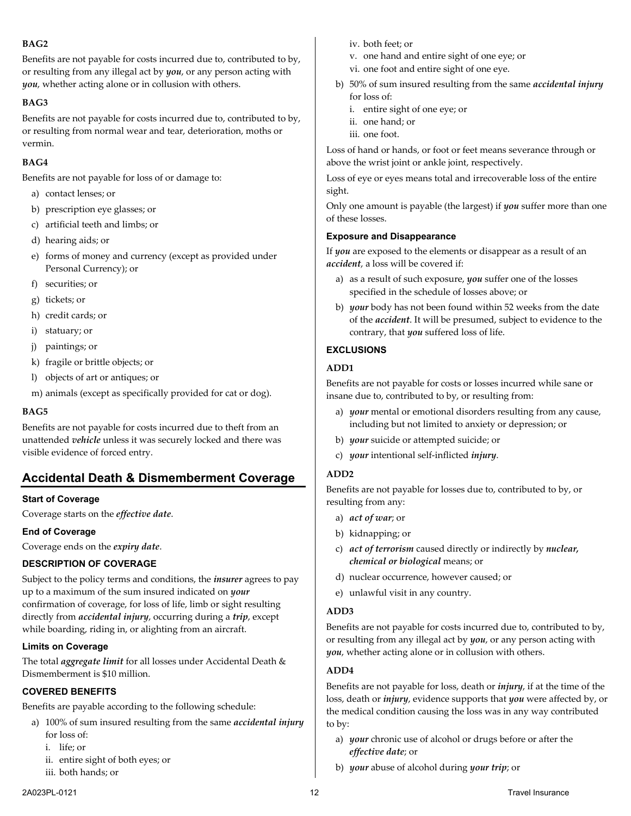# **BAG2**

Benefits are not payable for costs incurred due to, contributed to by, or resulting from any illegal act by *you*, or any person acting with *you*, whether acting alone or in collusion with others.

### **BAG3**

Benefits are not payable for costs incurred due to, contributed to by, or resulting from normal wear and tear, deterioration, moths or vermin.

# **BAG4**

Benefits are not payable for loss of or damage to:

- a) contact lenses; or
- b) prescription eye glasses; or
- c) artificial teeth and limbs; or
- d) hearing aids; or
- e) forms of money and currency (except as provided under Personal Currency); or
- f) securities; or
- g) tickets; or
- h) credit cards; or
- i) statuary; or
- j) paintings; or
- k) fragile or brittle objects; or
- l) objects of art or antiques; or
- m) animals (except as specifically provided for cat or dog).

#### **BAG5**

Benefits are not payable for costs incurred due to theft from an unattended *vehicle* unless it was securely locked and there was visible evidence of forced entry.

# <span id="page-11-0"></span>**Accidental Death & Dismemberment Coverage**

#### **Start of Coverage**

Coverage starts on the *effective date*.

#### **End of Coverage**

Coverage ends on the *expiry date*.

#### **DESCRIPTION OF COVERAGE**

Subject to the policy terms and conditions, the *insurer* agrees to pay up to a maximum of the sum insured indicated on *your* confirmation of coverage, for loss of life, limb or sight resulting directly from *accidental injury*, occurring during a *trip*, except while boarding, riding in, or alighting from an aircraft.

#### **Limits on Coverage**

The total *aggregate limit* for all losses under Accidental Death & Dismemberment is \$10 million.

# **COVERED BENEFITS**

Benefits are payable according to the following schedule:

- a) 100% of sum insured resulting from the same *accidental injury* for loss of:
	- i. life; or
	- ii. entire sight of both eyes; or
	- iii. both hands; or
- iv. both feet; or
- v. one hand and entire sight of one eye; or
- vi. one foot and entire sight of one eye.
- b) 50% of sum insured resulting from the same *accidental injury* for loss of:
	- i. entire sight of one eye; or
	- ii. one hand; or
	- iii. one foot.

Loss of hand or hands, or foot or feet means severance through or above the wrist joint or ankle joint, respectively.

Loss of eye or eyes means total and irrecoverable loss of the entire sight.

Only one amount is payable (the largest) if *you* suffer more than one of these losses.

#### **Exposure and Disappearance**

If *you* are exposed to the elements or disappear as a result of an *accident*, a loss will be covered if:

- a) as a result of such exposure, *you* suffer one of the losses specified in the schedule of losses above; or
- b) *your* body has not been found within 52 weeks from the date of the *accident*. It will be presumed, subject to evidence to the contrary, that *you* suffered loss of life.

# **EXCLUSIONS**

#### **ADD1**

Benefits are not payable for costs or losses incurred while sane or insane due to, contributed to by, or resulting from:

- a) *your* mental or emotional disorders resulting from any cause, including but not limited to anxiety or depression; or
- b) *your* suicide or attempted suicide; or
- c) *your* intentional self-inflicted *injury*.

# **ADD2**

Benefits are not payable for losses due to, contributed to by, or resulting from any:

- a) *act of war*; or
- b) kidnapping; or
- c) *act of terrorism* caused directly or indirectly by *nuclear, chemical or biological* means; or
- d) nuclear occurrence, however caused; or
- e) unlawful visit in any country.

#### **ADD3**

Benefits are not payable for costs incurred due to, contributed to by, or resulting from any illegal act by *you*, or any person acting with *you*, whether acting alone or in collusion with others.

#### **ADD4**

Benefits are not payable for loss, death or *injury*, if at the time of the loss, death or *injury*, evidence supports that *you* were affected by, or the medical condition causing the loss was in any way contributed to by:

- a) *your* chronic use of alcohol or drugs before or after the *effective date*; or
- b) *your* abuse of alcohol during *your trip*; or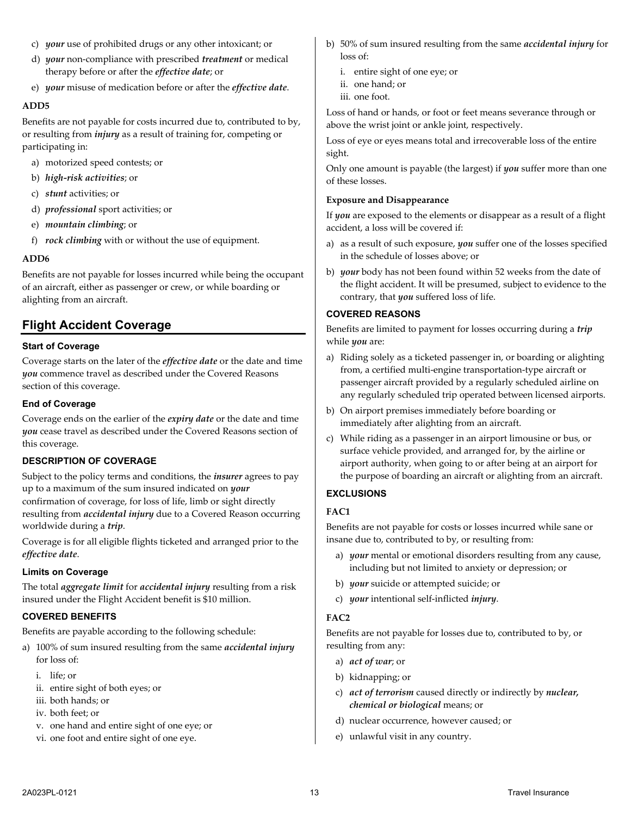- c) *your* use of prohibited drugs or any other intoxicant; or
- d) *your* non-compliance with prescribed *treatment* or medical therapy before or after the *effective date*; or
- e) *your* misuse of medication before or after the *effective date*.

#### **ADD5**

Benefits are not payable for costs incurred due to, contributed to by, or resulting from *injury* as a result of training for, competing or participating in:

- a) motorized speed contests; or
- b) *high-risk activities*; or
- c) *stunt* activities; or
- d) *professional* sport activities; or
- e) *mountain climbing*; or
- f) *rock climbing* with or without the use of equipment.

#### **ADD6**

Benefits are not payable for losses incurred while being the occupant of an aircraft, either as passenger or crew, or while boarding or alighting from an aircraft.

# <span id="page-12-0"></span>**Flight Accident Coverage**

#### **Start of Coverage**

Coverage starts on the later of the *effective date* or the date and time *you* commence travel as described under the Covered Reasons section of this coverage.

#### **End of Coverage**

Coverage ends on the earlier of the *expiry date* or the date and time *you* cease travel as described under the Covered Reasons section of this coverage.

#### **DESCRIPTION OF COVERAGE**

Subject to the policy terms and conditions, the *insurer* agrees to pay up to a maximum of the sum insured indicated on *your* confirmation of coverage, for loss of life, limb or sight directly resulting from *accidental injury* due to a Covered Reason occurring worldwide during a *trip*.

Coverage is for all eligible flights ticketed and arranged prior to the *effective date*.

#### **Limits on Coverage**

The total *aggregate limit* for *accidental injury* resulting from a risk insured under the Flight Accident benefit is \$10 million.

#### **COVERED BENEFITS**

Benefits are payable according to the following schedule:

- a) 100% of sum insured resulting from the same *accidental injury* for loss of:
	- i. life; or
	- ii. entire sight of both eyes; or
	- iii. both hands; or
	- iv. both feet; or
	- v. one hand and entire sight of one eye; or
	- vi. one foot and entire sight of one eye.
- b) 50% of sum insured resulting from the same *accidental injury* for loss of:
	- i. entire sight of one eye; or
	- ii. one hand; or
	- iii. one foot.

Loss of hand or hands, or foot or feet means severance through or above the wrist joint or ankle joint, respectively.

Loss of eye or eyes means total and irrecoverable loss of the entire sight.

Only one amount is payable (the largest) if *you* suffer more than one of these losses.

#### **Exposure and Disappearance**

If *you* are exposed to the elements or disappear as a result of a flight accident, a loss will be covered if:

- a) as a result of such exposure, *you* suffer one of the losses specified in the schedule of losses above; or
- b) *your* body has not been found within 52 weeks from the date of the flight accident. It will be presumed, subject to evidence to the contrary, that *you* suffered loss of life.

### **COVERED REASONS**

Benefits are limited to payment for losses occurring during a *trip*  while *you* are:

- a) Riding solely as a ticketed passenger in, or boarding or alighting from, a certified multi-engine transportation-type aircraft or passenger aircraft provided by a regularly scheduled airline on any regularly scheduled trip operated between licensed airports.
- b) On airport premises immediately before boarding or immediately after alighting from an aircraft.
- c) While riding as a passenger in an airport limousine or bus, or surface vehicle provided, and arranged for, by the airline or airport authority, when going to or after being at an airport for the purpose of boarding an aircraft or alighting from an aircraft.

#### **EXCLUSIONS**

# **FAC1**

Benefits are not payable for costs or losses incurred while sane or insane due to, contributed to by, or resulting from:

- a) *your* mental or emotional disorders resulting from any cause, including but not limited to anxiety or depression; or
- b) *your* suicide or attempted suicide; or
- c) *your* intentional self-inflicted *injury*.

#### **FAC2**

Benefits are not payable for losses due to, contributed to by, or resulting from any:

- a) *act of war*; or
- b) kidnapping; or
- c) *act of terrorism* caused directly or indirectly by *nuclear, chemical or biological* means; or
- d) nuclear occurrence, however caused; or
- e) unlawful visit in any country.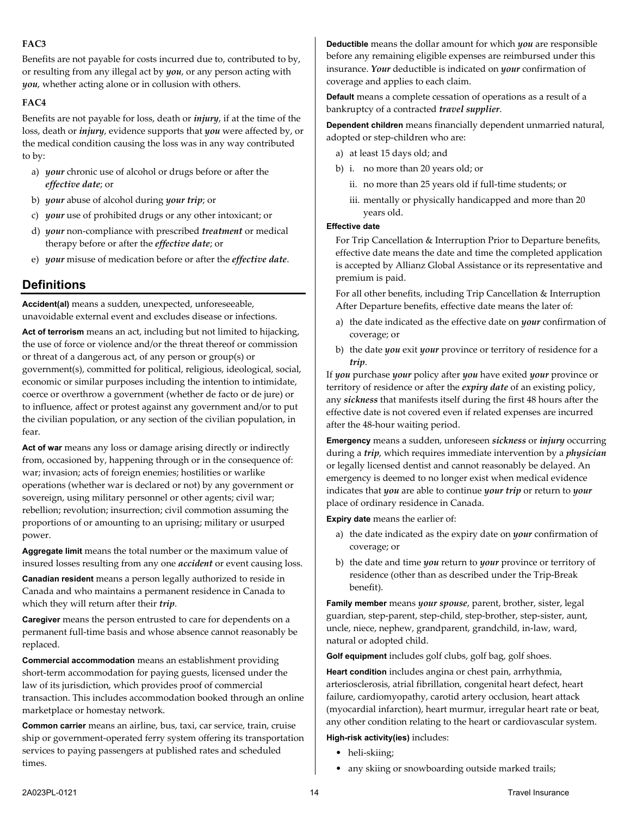# **FAC3**

Benefits are not payable for costs incurred due to, contributed to by, or resulting from any illegal act by *you*, or any person acting with *you*, whether acting alone or in collusion with others.

# **FAC4**

Benefits are not payable for loss, death or *injury*, if at the time of the loss, death or *injury*, evidence supports that *you* were affected by, or the medical condition causing the loss was in any way contributed to by:

- a) *your* chronic use of alcohol or drugs before or after the *effective date*; or
- b) *your* abuse of alcohol during *your trip*; or
- c) *your* use of prohibited drugs or any other intoxicant; or
- d) *your* non-compliance with prescribed *treatment* or medical therapy before or after the *effective date*; or
- <span id="page-13-0"></span>e) *your* misuse of medication before or after the *effective date*.

# **Definitions**

**Accident(al)** means a sudden, unexpected, unforeseeable, unavoidable external event and excludes disease or infections.

**Act of terrorism** means an act, including but not limited to hijacking, the use of force or violence and/or the threat thereof or commission or threat of a dangerous act, of any person or group(s) or government(s), committed for political, religious, ideological, social, economic or similar purposes including the intention to intimidate, coerce or overthrow a government (whether de facto or de jure) or to influence, affect or protest against any government and/or to put the civilian population, or any section of the civilian population, in fear.

**Act of war** means any loss or damage arising directly or indirectly from, occasioned by, happening through or in the consequence of: war; invasion; acts of foreign enemies; hostilities or warlike operations (whether war is declared or not) by any government or sovereign, using military personnel or other agents; civil war; rebellion; revolution; insurrection; civil commotion assuming the proportions of or amounting to an uprising; military or usurped power.

**Aggregate limit** means the total number or the maximum value of insured losses resulting from any one *accident* or event causing loss.

**Canadian resident** means a person legally authorized to reside in Canada and who maintains a permanent residence in Canada to which they will return after their *trip*.

**Caregiver** means the person entrusted to care for dependents on a permanent full-time basis and whose absence cannot reasonably be replaced.

**Commercial accommodation** means an establishment providing short-term accommodation for paying guests, licensed under the law of its jurisdiction, which provides proof of commercial transaction. This includes accommodation booked through an online marketplace or homestay network.

**Common carrier** means an airline, bus, taxi, car service, train, cruise ship or government-operated ferry system offering its transportation services to paying passengers at published rates and scheduled times.

**Deductible** means the dollar amount for which *you* are responsible before any remaining eligible expenses are reimbursed under this insurance. *Your* deductible is indicated on *your* confirmation of coverage and applies to each claim.

**Default** means a complete cessation of operations as a result of a bankruptcy of a contracted *travel supplier*.

**Dependent children** means financially dependent unmarried natural, adopted or step-children who are:

- a) at least 15 days old; and
- b) i. no more than 20 years old; or
	- ii. no more than 25 years old if full-time students; or
	- iii. mentally or physically handicapped and more than 20 years old.

#### **Effective date**

For Trip Cancellation & Interruption Prior to Departure benefits, effective date means the date and time the completed application is accepted by Allianz Global Assistance or its representative and premium is paid.

For all other benefits, including Trip Cancellation & Interruption After Departure benefits, effective date means the later of:

- a) the date indicated as the effective date on *your* confirmation of coverage; or
- b) the date *you* exit *your* province or territory of residence for a *trip*.

If *you* purchase *your* policy after *you* have exited *your* province or territory of residence or after the *expiry date* of an existing policy, any *sickness* that manifests itself during the first 48 hours after the effective date is not covered even if related expenses are incurred after the 48-hour waiting period.

**Emergency** means a sudden, unforeseen *sickness* or *injury* occurring during a *trip*, which requires immediate intervention by a *physician* or legally licensed dentist and cannot reasonably be delayed. An emergency is deemed to no longer exist when medical evidence indicates that *you* are able to continue *your trip* or return to *your* place of ordinary residence in Canada.

**Expiry date** means the earlier of:

- a) the date indicated as the expiry date on *your* confirmation of coverage; or
- b) the date and time *you* return to *your* province or territory of residence (other than as described under the Trip-Break benefit).

**Family member** means *your spouse*, parent, brother, sister, legal guardian, step-parent, step-child, step-brother, step-sister, aunt, uncle, niece, nephew, grandparent, grandchild, in-law, ward, natural or adopted child.

**Golf equipment** includes golf clubs, golf bag, golf shoes.

**Heart condition** includes angina or chest pain, arrhythmia, arteriosclerosis, atrial fibrillation, congenital heart defect, heart failure, cardiomyopathy, carotid artery occlusion, heart attack (myocardial infarction), heart murmur, irregular heart rate or beat, any other condition relating to the heart or cardiovascular system.

#### **High-risk activity(ies)** includes:

- heli-skiing;
- any skiing or snowboarding outside marked trails;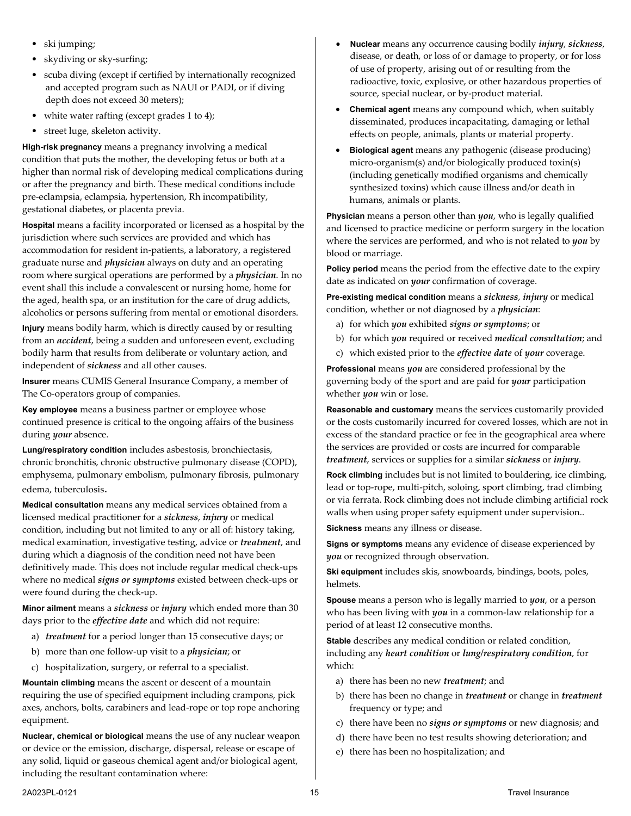- ski jumping;
- skydiving or sky-surfing;
- scuba diving (except if certified by internationally recognized and accepted program such as NAUI or PADI, or if diving depth does not exceed 30 meters);
- white water rafting (except grades 1 to 4);
- street luge, skeleton activity.

**High-risk pregnancy** means a pregnancy involving a medical condition that puts the mother, the developing fetus or both at a higher than normal risk of developing medical complications during or after the pregnancy and birth. These medical conditions include pre-eclampsia, eclampsia, hypertension, Rh incompatibility, gestational diabetes, or placenta previa.

**Hospital** means a facility incorporated or licensed as a hospital by the jurisdiction where such services are provided and which has accommodation for resident in-patients, a laboratory, a registered graduate nurse and *physician* always on duty and an operating room where surgical operations are performed by a *physician*. In no event shall this include a convalescent or nursing home, home for the aged, health spa, or an institution for the care of drug addicts, alcoholics or persons suffering from mental or emotional disorders.

**Injury** means bodily harm, which is directly caused by or resulting from an *accident*, being a sudden and unforeseen event, excluding bodily harm that results from deliberate or voluntary action, and independent of *sickness* and all other causes.

**Insurer** means CUMIS General Insurance Company, a member of The Co-operators group of companies.

**Key employee** means a business partner or employee whose continued presence is critical to the ongoing affairs of the business during *your* absence.

**Lung/respiratory condition** includes asbestosis, bronchiectasis, chronic bronchitis, chronic obstructive pulmonary disease (COPD), emphysema, pulmonary embolism, pulmonary fibrosis, pulmonary edema, tuberculosis.

**Medical consultation** means any medical services obtained from a licensed medical practitioner for a *sickness*, *injury* or medical condition, including but not limited to any or all of: history taking, medical examination, investigative testing, advice or *treatment*, and during which a diagnosis of the condition need not have been definitively made. This does not include regular medical check-ups where no medical *signs or symptoms* existed between check-ups or were found during the check-up.

**Minor ailment** means a *sickness* or *injury* which ended more than 30 days prior to the *effective date* and which did not require:

- a) *treatment* for a period longer than 15 consecutive days; or
- b) more than one follow-up visit to a *physician*; or
- c) hospitalization, surgery, or referral to a specialist.

**Mountain climbing** means the ascent or descent of a mountain requiring the use of specified equipment including crampons, pick axes, anchors, bolts, carabiners and lead-rope or top rope anchoring equipment.

**Nuclear, chemical or biological** means the use of any nuclear weapon or device or the emission, discharge, dispersal, release or escape of any solid, liquid or gaseous chemical agent and/or biological agent, including the resultant contamination where:

- **Nuclear** means any occurrence causing bodily *injury*, *sickness*, disease, or death, or loss of or damage to property, or for loss of use of property, arising out of or resulting from the radioactive, toxic, explosive, or other hazardous properties of source, special nuclear, or by-product material.
- **Chemical agent** means any compound which, when suitably disseminated, produces incapacitating, damaging or lethal effects on people, animals, plants or material property.
- **Biological agent** means any pathogenic (disease producing) micro-organism(s) and/or biologically produced toxin(s) (including genetically modified organisms and chemically synthesized toxins) which cause illness and/or death in humans, animals or plants.

**Physician** means a person other than *you*, who is legally qualified and licensed to practice medicine or perform surgery in the location where the services are performed, and who is not related to *you* by blood or marriage.

**Policy period** means the period from the effective date to the expiry date as indicated on *your* confirmation of coverage.

**Pre-existing medical condition** means a *sickness*, *injury* or medical condition, whether or not diagnosed by a *physician*:

- a) for which *you* exhibited *signs or symptoms*; or
- b) for which *you* required or received *medical consultation*; and
- c) which existed prior to the *effective date* of *your* coverage.

**Professional** means *you* are considered professional by the governing body of the sport and are paid for *your* participation whether *you* win or lose.

**Reasonable and customary** means the services customarily provided or the costs customarily incurred for covered losses, which are not in excess of the standard practice or fee in the geographical area where the services are provided or costs are incurred for comparable *treatment*, services or supplies for a similar *sickness* or *injury*.

**Rock climbing** includes but is not limited to bouldering, ice climbing, lead or top-rope, multi-pitch, soloing, sport climbing, trad climbing or via ferrata. Rock climbing does not include climbing artificial rock walls when using proper safety equipment under supervision..

**Sickness** means any illness or disease.

**Signs or symptoms** means any evidence of disease experienced by *you* or recognized through observation.

**Ski equipment** includes skis, snowboards, bindings, boots, poles, helmets.

**Spouse** means a person who is legally married to *you*, or a person who has been living with *you* in a common-law relationship for a period of at least 12 consecutive months.

**Stable** describes any medical condition or related condition, including any *heart condition* or *lung/respiratory condition*, for which:

- a) there has been no new *treatment*; and
- b) there has been no change in *treatment* or change in *treatment* frequency or type; and
- c) there have been no *signs or symptoms* or new diagnosis; and
- d) there have been no test results showing deterioration; and
- e) there has been no hospitalization; and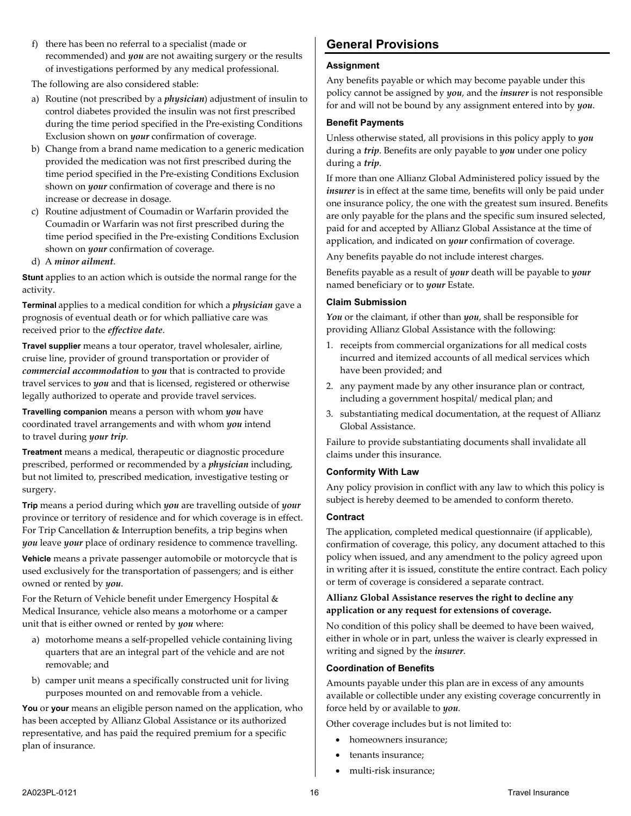f) there has been no referral to a specialist (made or recommended) and *you* are not awaiting surgery or the results of investigations performed by any medical professional.

The following are also considered stable:

- a) Routine (not prescribed by a *physician*) adjustment of insulin to control diabetes provided the insulin was not first prescribed during the time period specified in the Pre-existing Conditions Exclusion shown on *your* confirmation of coverage.
- b) Change from a brand name medication to a generic medication provided the medication was not first prescribed during the time period specified in the Pre-existing Conditions Exclusion shown on *your* confirmation of coverage and there is no increase or decrease in dosage.
- c) Routine adjustment of Coumadin or Warfarin provided the Coumadin or Warfarin was not first prescribed during the time period specified in the Pre-existing Conditions Exclusion shown on *your* confirmation of coverage.
- d) A *minor ailment*.

**Stunt** applies to an action which is outside the normal range for the activity.

**Terminal** applies to a medical condition for which a *physician* gave a prognosis of eventual death or for which palliative care was received prior to the *effective date*.

**Travel supplier** means a tour operator, travel wholesaler, airline, cruise line, provider of ground transportation or provider of *commercial accommodation* to *you* that is contracted to provide travel services to *you* and that is licensed, registered or otherwise legally authorized to operate and provide travel services.

**Travelling companion** means a person with whom *you* have coordinated travel arrangements and with whom *you* intend to travel during *your trip*.

**Treatment** means a medical, therapeutic or diagnostic procedure prescribed, performed or recommended by a *physician* including, but not limited to, prescribed medication, investigative testing or surgery.

**Trip** means a period during which *you* are travelling outside of *your* province or territory of residence and for which coverage is in effect. For Trip Cancellation & Interruption benefits, a trip begins when *you* leave *your* place of ordinary residence to commence travelling.

**Vehicle** means a private passenger automobile or motorcycle that is used exclusively for the transportation of passengers; and is either owned or rented by *you*.

For the Return of Vehicle benefit under Emergency Hospital & Medical Insurance, vehicle also means a motorhome or a camper unit that is either owned or rented by *you* where:

- a) motorhome means a self-propelled vehicle containing living quarters that are an integral part of the vehicle and are not removable; and
- b) camper unit means a specifically constructed unit for living purposes mounted on and removable from a vehicle.

**You** or **your** means an eligible person named on the application, who has been accepted by Allianz Global Assistance or its authorized representative, and has paid the required premium for a specific plan of insurance.

# <span id="page-15-0"></span>**General Provisions**

# **Assignment**

Any benefits payable or which may become payable under this policy cannot be assigned by *you*, and the *insurer* is not responsible for and will not be bound by any assignment entered into by *you*.

### **Benefit Payments**

Unless otherwise stated, all provisions in this policy apply to *you*  during a *trip*. Benefits are only payable to *you* under one policy during a *trip*.

If more than one Allianz Global Administered policy issued by the *insurer* is in effect at the same time, benefits will only be paid under one insurance policy, the one with the greatest sum insured. Benefits are only payable for the plans and the specific sum insured selected, paid for and accepted by Allianz Global Assistance at the time of application, and indicated on *your* confirmation of coverage.

Any benefits payable do not include interest charges.

Benefits payable as a result of *your* death will be payable to *your* named beneficiary or to *your* Estate.

#### **Claim Submission**

*You* or the claimant, if other than *you*, shall be responsible for providing Allianz Global Assistance with the following:

- 1. receipts from commercial organizations for all medical costs incurred and itemized accounts of all medical services which have been provided; and
- 2. any payment made by any other insurance plan or contract, including a government hospital/ medical plan; and
- 3. substantiating medical documentation, at the request of Allianz Global Assistance.

Failure to provide substantiating documents shall invalidate all claims under this insurance.

#### **Conformity With Law**

Any policy provision in conflict with any law to which this policy is subject is hereby deemed to be amended to conform thereto.

#### **Contract**

The application, completed medical questionnaire (if applicable), confirmation of coverage, this policy, any document attached to this policy when issued, and any amendment to the policy agreed upon in writing after it is issued, constitute the entire contract. Each policy or term of coverage is considered a separate contract.

# **Allianz Global Assistance reserves the right to decline any application or any request for extensions of coverage.**

No condition of this policy shall be deemed to have been waived, either in whole or in part, unless the waiver is clearly expressed in writing and signed by the *insurer*.

#### **Coordination of Benefits**

Amounts payable under this plan are in excess of any amounts available or collectible under any existing coverage concurrently in force held by or available to *you*.

Other coverage includes but is not limited to:

- homeowners insurance;
- tenants insurance;
- multi-risk insurance;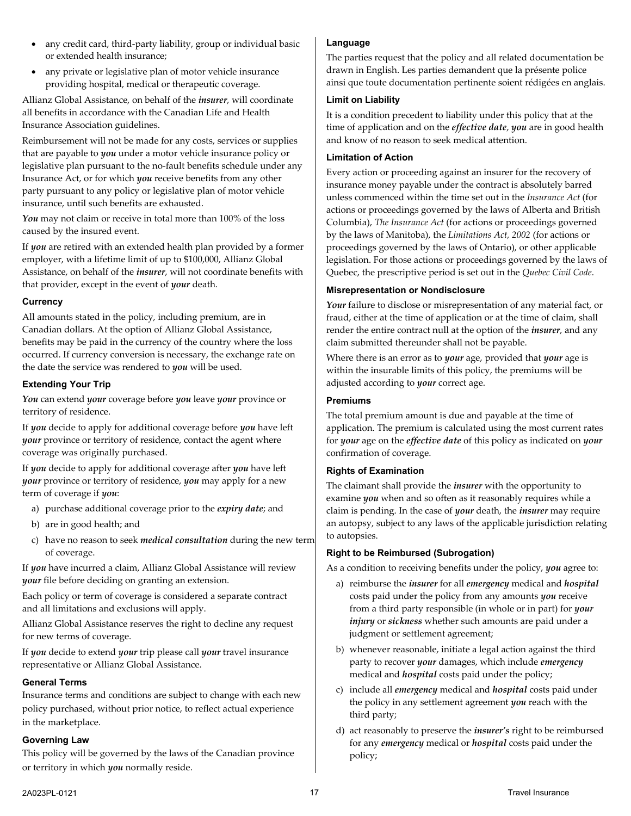- any credit card, third-party liability, group or individual basic or extended health insurance;
- any private or legislative plan of motor vehicle insurance providing hospital, medical or therapeutic coverage.

Allianz Global Assistance, on behalf of the *insurer*, will coordinate all benefits in accordance with the Canadian Life and Health Insurance Association guidelines.

Reimbursement will not be made for any costs, services or supplies that are payable to *you* under a motor vehicle insurance policy or legislative plan pursuant to the no-fault benefits schedule under any Insurance Act, or for which *you* receive benefits from any other party pursuant to any policy or legislative plan of motor vehicle insurance, until such benefits are exhausted.

*You* may not claim or receive in total more than 100% of the loss caused by the insured event.

If *you* are retired with an extended health plan provided by a former employer, with a lifetime limit of up to \$100,000, Allianz Global Assistance, on behalf of the *insurer*, will not coordinate benefits with that provider, except in the event of *your* death.

# **Currency**

All amounts stated in the policy, including premium, are in Canadian dollars. At the option of Allianz Global Assistance, benefits may be paid in the currency of the country where the loss occurred. If currency conversion is necessary, the exchange rate on the date the service was rendered to *you* will be used.

# <span id="page-16-0"></span>**Extending Your Trip**

*You* can extend *your* coverage before *you* leave *your* province or territory of residence.

If *you* decide to apply for additional coverage before *you* have left *your* province or territory of residence, contact the agent where coverage was originally purchased.

If *you* decide to apply for additional coverage after *you* have left *your* province or territory of residence, *you* may apply for a new term of coverage if *you*:

- a) purchase additional coverage prior to the *expiry date*; and
- b) are in good health; and
- c) have no reason to seek *medical consultation* during the new term of coverage.

If *you* have incurred a claim, Allianz Global Assistance will review *your* file before deciding on granting an extension.

Each policy or term of coverage is considered a separate contract and all limitations and exclusions will apply.

Allianz Global Assistance reserves the right to decline any request for new terms of coverage.

If *you* decide to extend *your* trip please call *your* travel insurance representative or Allianz Global Assistance.

#### **General Terms**

Insurance terms and conditions are subject to change with each new policy purchased, without prior notice, to reflect actual experience in the marketplace.

#### **Governing Law**

This policy will be governed by the laws of the Canadian province or territory in which *you* normally reside.

#### **Language**

The parties request that the policy and all related documentation be drawn in English. Les parties demandent que la présente police ainsi que toute documentation pertinente soient rédigées en anglais.

#### **Limit on Liability**

It is a condition precedent to liability under this policy that at the time of application and on the *effective date*, *you* are in good health and know of no reason to seek medical attention.

#### **Limitation of Action**

Every action or proceeding against an insurer for the recovery of insurance money payable under the contract is absolutely barred unless commenced within the time set out in the *Insurance Act* (for actions or proceedings governed by the laws of Alberta and British Columbia), *The Insurance Act* (for actions or proceedings governed by the laws of Manitoba), the *Limitations Act, 2002* (for actions or proceedings governed by the laws of Ontario), or other applicable legislation. For those actions or proceedings governed by the laws of Quebec, the prescriptive period is set out in the *Quebec Civil Code*.

#### **Misrepresentation or Nondisclosure**

Your failure to disclose or misrepresentation of any material fact, or fraud, either at the time of application or at the time of claim, shall render the entire contract null at the option of the *insurer*, and any claim submitted thereunder shall not be payable.

Where there is an error as to *your* age, provided that *your* age is within the insurable limits of this policy, the premiums will be adjusted according to *your* correct age.

#### **Premiums**

The total premium amount is due and payable at the time of application. The premium is calculated using the most current rates for *your* age on the *effective date* of this policy as indicated on *your* confirmation of coverage.

#### **Rights of Examination**

The claimant shall provide the *insurer* with the opportunity to examine *you* when and so often as it reasonably requires while a claim is pending. In the case of *your* death, the *insurer* may require an autopsy, subject to any laws of the applicable jurisdiction relating to autopsies.

#### **Right to be Reimbursed (Subrogation)**

As a condition to receiving benefits under the policy, *you* agree to:

- a) reimburse the *insurer* for all *emergency* medical and *hospital* costs paid under the policy from any amounts *you* receive from a third party responsible (in whole or in part) for *your injury* or *sickness* whether such amounts are paid under a judgment or settlement agreement;
- b) whenever reasonable, initiate a legal action against the third party to recover *your* damages, which include *emergency* medical and *hospital* costs paid under the policy;
- c) include all *emergency* medical and *hospital* costs paid under the policy in any settlement agreement *you* reach with the third party;
- d) act reasonably to preserve the *insurer's* right to be reimbursed for any *emergency* medical or *hospital* costs paid under the policy;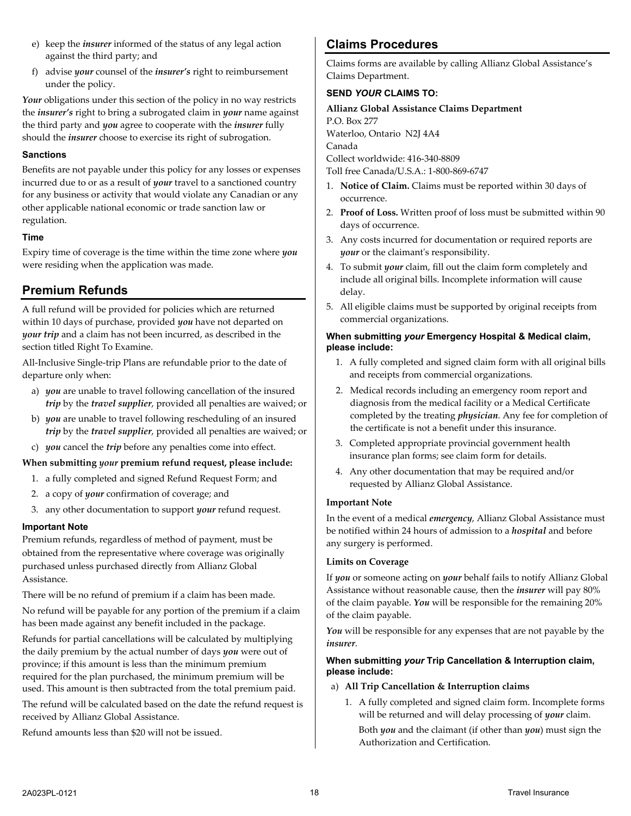- e) keep the *insurer* informed of the status of any legal action against the third party; and
- f) advise *your* counsel of the *insurer's* right to reimbursement under the policy.

*Your* obligations under this section of the policy in no way restricts the *insurer's* right to bring a subrogated claim in *your* name against the third party and *you* agree to cooperate with the *insurer* fully should the *insurer* choose to exercise its right of subrogation.

### **Sanctions**

Benefits are not payable under this policy for any losses or expenses incurred due to or as a result of *your* travel to a sanctioned country for any business or activity that would violate any Canadian or any other applicable national economic or trade sanction law or regulation.

# **Time**

Expiry time of coverage is the time within the time zone where *you* were residing when the application was made.

# <span id="page-17-0"></span>**Premium Refunds**

A full refund will be provided for policies which are returned within 10 days of purchase, provided *you* have not departed on *your trip* and a claim has not been incurred, as described in the section titled Right To Examine.

All-Inclusive Single-trip Plans are refundable prior to the date of departure only when:

- a) *you* are unable to travel following cancellation of the insured *trip* by the *travel supplier*, provided all penalties are waived; or
- b) *you* are unable to travel following rescheduling of an insured *trip* by the *travel supplier*, provided all penalties are waived; or
- c) *you* cancel the *trip* before any penalties come into effect.

# **When submitting** *your* **premium refund request, please include:**

- 1. a fully completed and signed Refund Request Form; and
- 2. a copy of *your* confirmation of coverage; and
- 3. any other documentation to support *your* refund request.

# **Important Note**

Premium refunds, regardless of method of payment, must be obtained from the representative where coverage was originally purchased unless purchased directly from Allianz Global Assistance.

There will be no refund of premium if a claim has been made.

No refund will be payable for any portion of the premium if a claim has been made against any benefit included in the package.

Refunds for partial cancellations will be calculated by multiplying the daily premium by the actual number of days *you* were out of province; if this amount is less than the minimum premium required for the plan purchased, the minimum premium will be used. This amount is then subtracted from the total premium paid.

The refund will be calculated based on the date the refund request is received by Allianz Global Assistance.

Refund amounts less than \$20 will not be issued.

# <span id="page-17-1"></span>**Claims Procedures**

Claims forms are available by calling Allianz Global Assistance's Claims Department.

# **SEND** *YOUR* **CLAIMS TO:**

**Allianz Global Assistance Claims Department** P.O. Box 277 Waterloo, Ontario N2J 4A4 Canada Collect worldwide: 416-340-8809 Toll free Canada/U.S.A.: 1-800-869-6747

- 1. **Notice of Claim.** Claims must be reported within 30 days of occurrence.
- 2. **Proof of Loss.** Written proof of loss must be submitted within 90 days of occurrence.
- 3. Any costs incurred for documentation or required reports are *your* or the claimant's responsibility.
- 4. To submit *your* claim, fill out the claim form completely and include all original bills. Incomplete information will cause delay.
- 5. All eligible claims must be supported by original receipts from commercial organizations.

#### **When submitting** *your* **Emergency Hospital & Medical claim, please include:**

- 1. A fully completed and signed claim form with all original bills and receipts from commercial organizations.
- 2. Medical records including an emergency room report and diagnosis from the medical facility or a Medical Certificate completed by the treating *physician*. Any fee for completion of the certificate is not a benefit under this insurance.
- 3. Completed appropriate provincial government health insurance plan forms; see claim form for details.
- 4. Any other documentation that may be required and/or requested by Allianz Global Assistance.

# **Important Note**

In the event of a medical *emergency*, Allianz Global Assistance must be notified within 24 hours of admission to a *hospital* and before any surgery is performed.

# **Limits on Coverage**

If *you* or someone acting on *your* behalf fails to notify Allianz Global Assistance without reasonable cause, then the *insurer* will pay 80% of the claim payable. *You* will be responsible for the remaining 20% of the claim payable.

You will be responsible for any expenses that are not payable by the *insurer*.

# **When submitting** *your* **Trip Cancellation & Interruption claim, please include:**

# a) **All Trip Cancellation & Interruption claims**

1. A fully completed and signed claim form. Incomplete forms will be returned and will delay processing of *your* claim.

Both *you* and the claimant (if other than *you*) must sign the Authorization and Certification.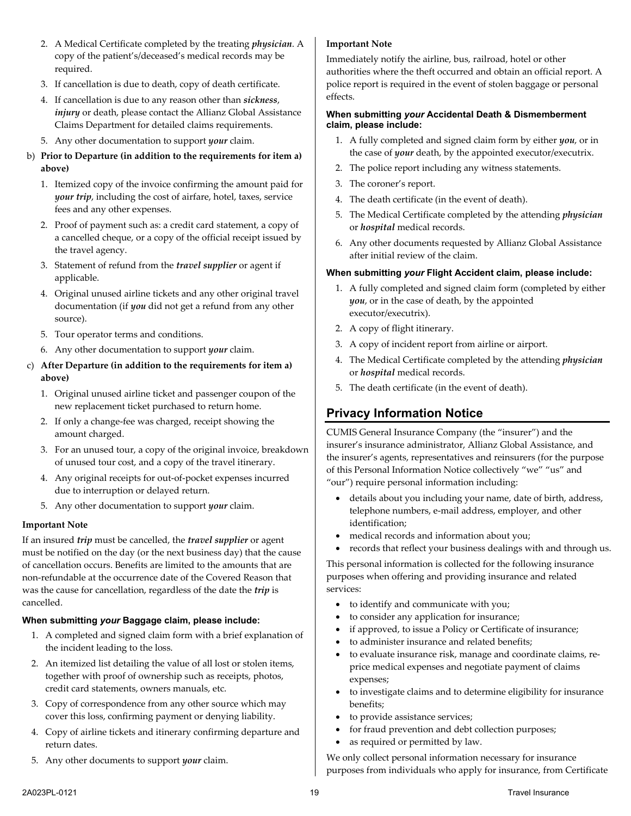- 
- 
- 2. A Medical Certificate completed by the treating *physician*. A copy of the patient's/deceased's medical records may be required.
- 3. If cancellation is due to death, copy of death certificate.
- 4. If cancellation is due to any reason other than *sickness*, *injury* or death, please contact the Allianz Global Assistance Claims Department for detailed claims requirements.
- 5. Any other documentation to support *your* claim.
- b) **Prior to Departure (in addition to the requirements for item a) above)**
	- 1. Itemized copy of the invoice confirming the amount paid for *your trip*, including the cost of airfare, hotel, taxes, service fees and any other expenses.
	- 2. Proof of payment such as: a credit card statement, a copy of a cancelled cheque, or a copy of the official receipt issued by the travel agency.
	- 3. Statement of refund from the *travel supplier* or agent if applicable.
	- 4. Original unused airline tickets and any other original travel documentation (if *you* did not get a refund from any other source).
	- 5. Tour operator terms and conditions.
	- 6. Any other documentation to support *your* claim.

# c) **After Departure (in addition to the requirements for item a) above)**

- 1. Original unused airline ticket and passenger coupon of the new replacement ticket purchased to return home.
- 2. If only a change-fee was charged, receipt showing the amount charged.
- 3. For an unused tour, a copy of the original invoice, breakdown of unused tour cost, and a copy of the travel itinerary.
- 4. Any original receipts for out-of-pocket expenses incurred due to interruption or delayed return.
- 5. Any other documentation to support *your* claim.

# **Important Note**

If an insured *trip* must be cancelled, the *travel supplier* or agent must be notified on the day (or the next business day) that the cause of cancellation occurs. Benefits are limited to the amounts that are non-refundable at the occurrence date of the Covered Reason that was the cause for cancellation, regardless of the date the *trip* is cancelled.

# **When submitting** *your* **Baggage claim, please include:**

- 1. A completed and signed claim form with a brief explanation of the incident leading to the loss.
- 2. An itemized list detailing the value of all lost or stolen items, together with proof of ownership such as receipts, photos, credit card statements, owners manuals, etc.
- 3. Copy of correspondence from any other source which may cover this loss, confirming payment or denying liability.
- 4. Copy of airline tickets and itinerary confirming departure and return dates.
- 5. Any other documents to support *your* claim.

# **Important Note**

Immediately notify the airline, bus, railroad, hotel or other authorities where the theft occurred and obtain an official report. A police report is required in the event of stolen baggage or personal effects.

#### **When submitting** *your* **Accidental Death & Dismemberment claim, please include:**

- 1. A fully completed and signed claim form by either *you*, or in the case of *your* death, by the appointed executor/executrix.
- 2. The police report including any witness statements.
- 3. The coroner's report.
- 4. The death certificate (in the event of death).
- 5. The Medical Certificate completed by the attending *physician* or *hospital* medical records.
- 6. Any other documents requested by Allianz Global Assistance after initial review of the claim.

# **When submitting** *your* **Flight Accident claim, please include:**

- 1. A fully completed and signed claim form (completed by either *you*, or in the case of death, by the appointed executor/executrix).
- 2. A copy of flight itinerary.
- 3. A copy of incident report from airline or airport.
- 4. The Medical Certificate completed by the attending *physician* or *hospital* medical records.
- <span id="page-18-0"></span>5. The death certificate (in the event of death).

# **Privacy Information Notice**

CUMIS General Insurance Company (the "insurer") and the insurer's insurance administrator, Allianz Global Assistance, and the insurer's agents, representatives and reinsurers (for the purpose of this Personal Information Notice collectively "we" "us" and

"our") require personal information including:

- details about you including your name, date of birth, address, telephone numbers, e-mail address, employer, and other identification;
- medical records and information about you;
- records that reflect your business dealings with and through us.

This personal information is collected for the following insurance purposes when offering and providing insurance and related services:

- to identify and communicate with you;
- to consider any application for insurance;
- if approved, to issue a Policy or Certificate of insurance;
- to administer insurance and related benefits;
- to evaluate insurance risk, manage and coordinate claims, reprice medical expenses and negotiate payment of claims expenses;
- to investigate claims and to determine eligibility for insurance benefits;
- to provide assistance services;
- for fraud prevention and debt collection purposes;
- as required or permitted by law.

We only collect personal information necessary for insurance purposes from individuals who apply for insurance, from Certificate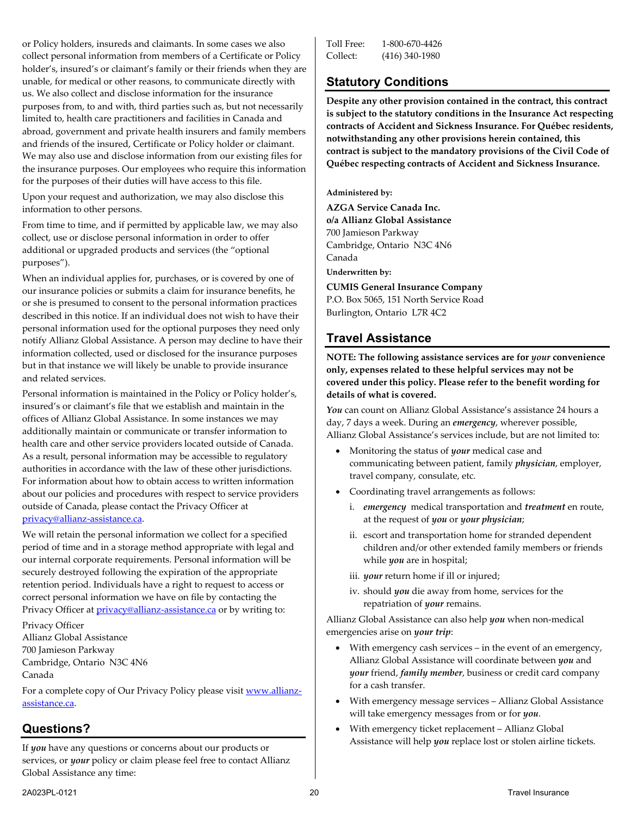or Policy holders, insureds and claimants. In some cases we also collect personal information from members of a Certificate or Policy holder's, insured's or claimant's family or their friends when they are unable, for medical or other reasons, to communicate directly with us. We also collect and disclose information for the insurance purposes from, to and with, third parties such as, but not necessarily limited to, health care practitioners and facilities in Canada and abroad, government and private health insurers and family members and friends of the insured, Certificate or Policy holder or claimant. We may also use and disclose information from our existing files for the insurance purposes. Our employees who require this information for the purposes of their duties will have access to this file.

Upon your request and authorization, we may also disclose this information to other persons.

From time to time, and if permitted by applicable law, we may also collect, use or disclose personal information in order to offer additional or upgraded products and services (the "optional purposes").

When an individual applies for, purchases, or is covered by one of our insurance policies or submits a claim for insurance benefits, he or she is presumed to consent to the personal information practices described in this notice. If an individual does not wish to have their personal information used for the optional purposes they need only notify Allianz Global Assistance. A person may decline to have their information collected, used or disclosed for the insurance purposes but in that instance we will likely be unable to provide insurance and related services.

Personal information is maintained in the Policy or Policy holder's, insured's or claimant's file that we establish and maintain in the offices of Allianz Global Assistance. In some instances we may additionally maintain or communicate or transfer information to health care and other service providers located outside of Canada. As a result, personal information may be accessible to regulatory authorities in accordance with the law of these other jurisdictions. For information about how to obtain access to written information about our policies and procedures with respect to service providers outside of Canada, please contact the Privacy Officer at [privacy@allianz-assistance.ca.](mailto:privacy@allianz-assistance.ca)

We will retain the personal information we collect for a specified period of time and in a storage method appropriate with legal and our internal corporate requirements. Personal information will be securely destroyed following the expiration of the appropriate retention period. Individuals have a right to request to access or correct personal information we have on file by contacting the Privacy Officer at *privacy@allianz-assistance.ca* or by writing to:

Privacy Officer Allianz Global Assistance 700 Jamieson Parkway Cambridge, Ontario N3C 4N6 Canada

For a complete copy of Our Privacy Policy please visi[t www.allianz](http://www.allianz-assistance.ca/)[assistance.ca.](http://www.allianz-assistance.ca/)

# **Questions?**

If *you* have any questions or concerns about our products or services, or *your* policy or claim please feel free to contact Allianz Global Assistance any time:

| Toll Free: | 1-800-670-4426   |
|------------|------------------|
| Collect:   | $(416)$ 340-1980 |

# <span id="page-19-0"></span>**Statutory Conditions**

**Despite any other provision contained in the contract, this contract is subject to the statutory conditions in the Insurance Act respecting contracts of Accident and Sickness Insurance. For Québec residents, notwithstanding any other provisions herein contained, this contract is subject to the mandatory provisions of the Civil Code of Québec respecting contracts of Accident and Sickness Insurance.**

**Administered by:**

**AZGA Service Canada Inc. o/a Allianz Global Assistance** 700 Jamieson Parkway Cambridge, Ontario N3C 4N6 Canada

**Underwritten by:**

**CUMIS General Insurance Company** P.O. Box 5065, 151 North Service Road Burlington, Ontario L7R 4C2

# <span id="page-19-1"></span>**Travel Assistance**

**NOTE: The following assistance services are for** *your* **convenience only, expenses related to these helpful services may not be covered under this policy. Please refer to the benefit wording for details of what is covered.**

*You* can count on Allianz Global Assistance's assistance 24 hours a day, 7 days a week. During an *emergency*, wherever possible, Allianz Global Assistance's services include, but are not limited to:

- Monitoring the status of *your* medical case and communicating between patient, family *physician*, employer, travel company, consulate, etc.
- Coordinating travel arrangements as follows:
	- i. *emergency* medical transportation and *treatment* en route, at the request of *you* or *your physician*;
	- ii. escort and transportation home for stranded dependent children and/or other extended family members or friends while *you* are in hospital;
	- iii. *your* return home if ill or injured;
	- iv. should *you* die away from home, services for the repatriation of *your* remains.

Allianz Global Assistance can also help *you* when non-medical emergencies arise on *your trip*:

- With emergency cash services in the event of an emergency, Allianz Global Assistance will coordinate between *you* and *your* friend, *family member*, business or credit card company for a cash transfer.
- With emergency message services Allianz Global Assistance will take emergency messages from or for *you*.
- With emergency ticket replacement Allianz Global Assistance will help *you* replace lost or stolen airline tickets.